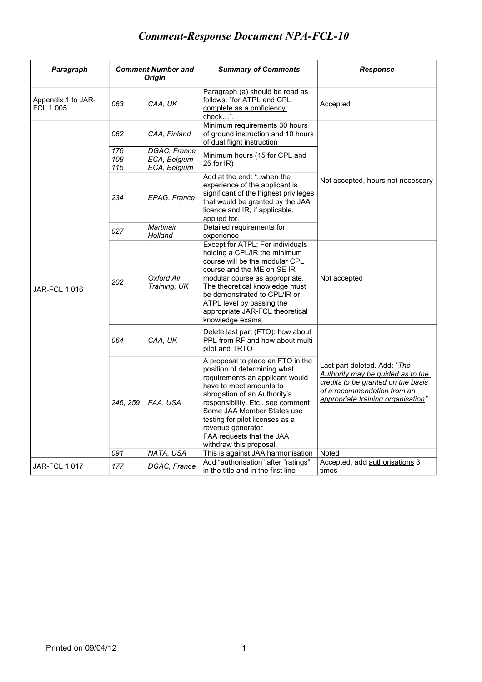| Paragraph                       |                   | <b>Comment Number and</b><br><b>Origin</b>   | <b>Summary of Comments</b>                                                                                                                                                                                                                                                                                                                       | <b>Response</b>                                                                                                                                                              |
|---------------------------------|-------------------|----------------------------------------------|--------------------------------------------------------------------------------------------------------------------------------------------------------------------------------------------------------------------------------------------------------------------------------------------------------------------------------------------------|------------------------------------------------------------------------------------------------------------------------------------------------------------------------------|
| Appendix 1 to JAR-<br>FCL 1.005 | 063               | CAA, UK                                      | Paragraph (a) should be read as<br>follows: "for ATPL and CPL<br>complete as a proficiency<br>check".                                                                                                                                                                                                                                            | Accepted                                                                                                                                                                     |
|                                 | 062               | CAA, Finland                                 | Minimum requirements 30 hours<br>of ground instruction and 10 hours<br>of dual flight instruction                                                                                                                                                                                                                                                |                                                                                                                                                                              |
|                                 | 176<br>108<br>115 | DGAC, France<br>ECA, Belgium<br>ECA, Belgium | Minimum hours (15 for CPL and<br>25 for $IR$ )                                                                                                                                                                                                                                                                                                   |                                                                                                                                                                              |
| <b>JAR-FCL 1.016</b>            | 234               | EPAG, France                                 | Add at the end: "when the<br>experience of the applicant is<br>significant of the highest privileges<br>that would be granted by the JAA<br>licence and IR, if applicable,<br>applied for."                                                                                                                                                      | Not accepted, hours not necessary                                                                                                                                            |
|                                 | 027               | Martinair<br>Holland                         | Detailed requirements for<br>experience                                                                                                                                                                                                                                                                                                          |                                                                                                                                                                              |
|                                 | 202               | Oxford Air<br>Training, UK                   | Except for ATPL; For individuals<br>holding a CPL/IR the minimum<br>course will be the modular CPL<br>course and the ME on SE IR<br>modular course as appropriate.<br>The theoretical knowledge must<br>be demonstrated to CPL/IR or<br>ATPL level by passing the<br>appropriate JAR-FCL theoretical<br>knowledge exams                          | Not accepted                                                                                                                                                                 |
|                                 | 064               | CAA, UK                                      | Delete last part (FTO): how about<br>PPL from RF and how about multi-<br>pilot and TRTO                                                                                                                                                                                                                                                          |                                                                                                                                                                              |
|                                 |                   | 246, 259 FAA, USA                            | A proposal to place an FTO in the<br>position of determining what<br>requirements an applicant would<br>have to meet amounts to<br>abrogation of an Authority's<br>responsibility. Etc see comment<br>Some JAA Member States use<br>testing for pilot licenses as a<br>revenue generator<br>FAA requests that the JAA<br>withdraw this proposal. | Last part deleted. Add: "The<br>Authority may be guided as to the<br>credits to be granted on the basis<br>of a recommendation from an<br>appropriate training organisation" |
|                                 | 091               | NATA, USA                                    | This is against JAA harmonisation                                                                                                                                                                                                                                                                                                                | Noted                                                                                                                                                                        |
| <b>JAR-FCL 1.017</b>            | 177               | DGAC, France                                 | Add "authorisation" after "ratings"<br>in the title and in the first line                                                                                                                                                                                                                                                                        | Accepted, add authorisations 3<br>times                                                                                                                                      |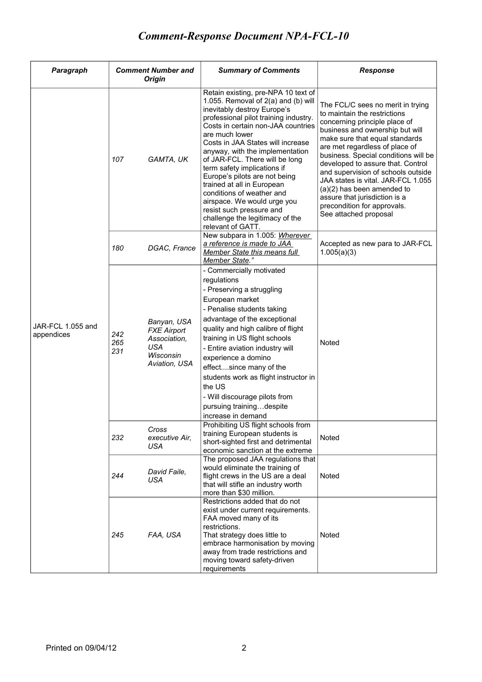| Paragraph                       |                   | <b>Comment Number and</b><br><b>Origin</b>                                                    | <b>Summary of Comments</b>                                                                                                                                                                                                                                                                                                                                                                                                                                                                                                                                         | <b>Response</b>                                                                                                                                                                                                                                                                                                                                                                                                                                                                             |
|---------------------------------|-------------------|-----------------------------------------------------------------------------------------------|--------------------------------------------------------------------------------------------------------------------------------------------------------------------------------------------------------------------------------------------------------------------------------------------------------------------------------------------------------------------------------------------------------------------------------------------------------------------------------------------------------------------------------------------------------------------|---------------------------------------------------------------------------------------------------------------------------------------------------------------------------------------------------------------------------------------------------------------------------------------------------------------------------------------------------------------------------------------------------------------------------------------------------------------------------------------------|
| JAR-FCL 1.055 and<br>appendices | 107               | GAMTA, UK                                                                                     | Retain existing, pre-NPA 10 text of<br>1.055. Removal of 2(a) and (b) will<br>inevitably destroy Europe's<br>professional pilot training industry.<br>Costs in certain non-JAA countries<br>are much lower<br>Costs in JAA States will increase<br>anyway, with the implementation<br>of JAR-FCL. There will be long<br>term safety implications if<br>Europe's pilots are not being<br>trained at all in European<br>conditions of weather and<br>airspace. We would urge you<br>resist such pressure and<br>challenge the legitimacy of the<br>relevant of GATT. | The FCL/C sees no merit in trying<br>to maintain the restrictions<br>concerning principle place of<br>business and ownership but will<br>make sure that equal standards<br>are met regardless of place of<br>business. Special conditions will be<br>developed to assure that. Control<br>and supervision of schools outside<br>JAA states is vital. JAR-FCL 1.055<br>$(a)(2)$ has been amended to<br>assure that jurisdiction is a<br>precondition for approvals.<br>See attached proposal |
|                                 | 180               | DGAC, France                                                                                  | New subpara in 1.005: Wherever<br>a reference is made to JAA<br>Member State this means full<br>Member State."                                                                                                                                                                                                                                                                                                                                                                                                                                                     | Accepted as new para to JAR-FCL<br>1.005(a)(3)                                                                                                                                                                                                                                                                                                                                                                                                                                              |
|                                 | 242<br>265<br>231 | Banyan, USA<br><b>FXE Airport</b><br>Association,<br><b>USA</b><br>Wisconsin<br>Aviation, USA | - Commercially motivated<br>regulations<br>- Preserving a struggling<br>European market<br>- Penalise students taking<br>advantage of the exceptional<br>quality and high calibre of flight<br>training in US flight schools<br>- Entire aviation industry will<br>experience a domino<br>effectsince many of the<br>students work as flight instructor in<br>the US<br>- Will discourage pilots from<br>pursuing trainingdespite<br>increase in demand                                                                                                            | Noted                                                                                                                                                                                                                                                                                                                                                                                                                                                                                       |
|                                 | 232               | Cross<br>executive Air,<br><b>USA</b>                                                         | Prohibiting US flight schools from<br>training European students is<br>short-sighted first and detrimental<br>economic sanction at the extreme                                                                                                                                                                                                                                                                                                                                                                                                                     | Noted                                                                                                                                                                                                                                                                                                                                                                                                                                                                                       |
|                                 | 244               | David Faile,<br>USA                                                                           | The proposed JAA regulations that<br>would eliminate the training of<br>flight crews in the US are a deal<br>that will stifle an industry worth<br>more than \$30 million.                                                                                                                                                                                                                                                                                                                                                                                         | Noted                                                                                                                                                                                                                                                                                                                                                                                                                                                                                       |
|                                 | 245               | FAA, USA                                                                                      | Restrictions added that do not<br>exist under current requirements.<br>FAA moved many of its<br>restrictions.<br>That strategy does little to<br>embrace harmonisation by moving<br>away from trade restrictions and<br>moving toward safety-driven<br>requirements                                                                                                                                                                                                                                                                                                | Noted                                                                                                                                                                                                                                                                                                                                                                                                                                                                                       |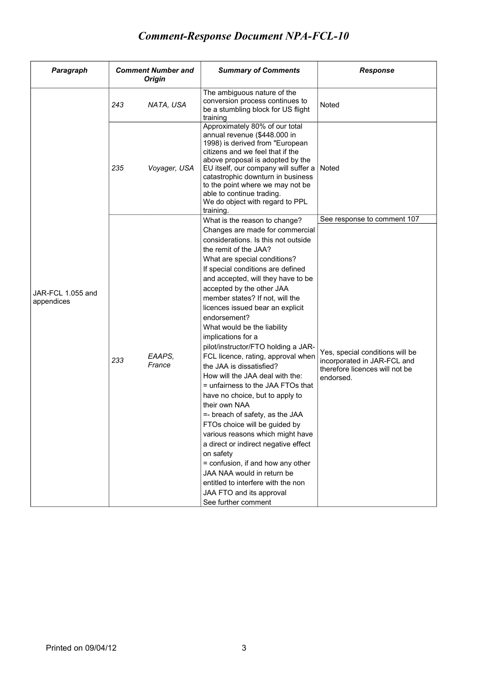| Paragraph                       |     | <b>Comment Number and</b><br>Origin | <b>Summary of Comments</b>                                                                                                                                                                                                                                                                                                                                                                                                                                                                                                                                                                                                                                                                                                                                                                                                                                                                                     | <b>Response</b>                                                                                               |
|---------------------------------|-----|-------------------------------------|----------------------------------------------------------------------------------------------------------------------------------------------------------------------------------------------------------------------------------------------------------------------------------------------------------------------------------------------------------------------------------------------------------------------------------------------------------------------------------------------------------------------------------------------------------------------------------------------------------------------------------------------------------------------------------------------------------------------------------------------------------------------------------------------------------------------------------------------------------------------------------------------------------------|---------------------------------------------------------------------------------------------------------------|
|                                 | 243 | NATA, USA                           | The ambiguous nature of the<br>conversion process continues to<br>be a stumbling block for US flight<br>training                                                                                                                                                                                                                                                                                                                                                                                                                                                                                                                                                                                                                                                                                                                                                                                               | Noted                                                                                                         |
|                                 | 235 | Voyager, USA                        | Approximately 80% of our total<br>annual revenue (\$448.000 in<br>1998) is derived from "European<br>citizens and we feel that if the<br>above proposal is adopted by the<br>EU itself, our company will suffer a Noted<br>catastrophic downturn in business<br>to the point where we may not be<br>able to continue trading.<br>We do object with regard to PPL<br>training.                                                                                                                                                                                                                                                                                                                                                                                                                                                                                                                                  |                                                                                                               |
|                                 |     |                                     | What is the reason to change?<br>Changes are made for commercial                                                                                                                                                                                                                                                                                                                                                                                                                                                                                                                                                                                                                                                                                                                                                                                                                                               | See response to comment 107                                                                                   |
| JAR-FCL 1.055 and<br>appendices | 233 | EAAPS,<br>France                    | considerations. Is this not outside<br>the remit of the JAA?<br>What are special conditions?<br>If special conditions are defined<br>and accepted, will they have to be<br>accepted by the other JAA<br>member states? If not, will the<br>licences issued bear an explicit<br>endorsement?<br>What would be the liability<br>implications for a<br>pilot/instructor/FTO holding a JAR-<br>FCL licence, rating, approval when<br>the JAA is dissatisfied?<br>How will the JAA deal with the:<br>= unfairness to the JAA FTOs that<br>have no choice, but to apply to<br>their own NAA<br>=- breach of safety, as the JAA<br>FTOs choice will be guided by<br>various reasons which might have<br>a direct or indirect negative effect<br>on safety<br>= confusion, if and how any other<br>JAA NAA would in return be<br>entitled to interfere with the non<br>JAA FTO and its approval<br>See further comment | Yes, special conditions will be<br>incorporated in JAR-FCL and<br>therefore licences will not be<br>endorsed. |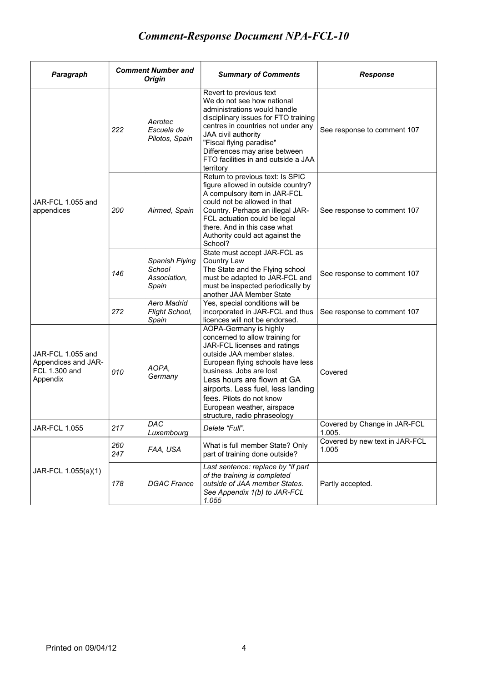| Paragraph                                                             |            | <b>Comment Number and</b><br><b>Origin</b>        | <b>Summary of Comments</b>                                                                                                                                                                                                                                                                                                                           | <b>Response</b>                         |
|-----------------------------------------------------------------------|------------|---------------------------------------------------|------------------------------------------------------------------------------------------------------------------------------------------------------------------------------------------------------------------------------------------------------------------------------------------------------------------------------------------------------|-----------------------------------------|
| JAR-FCL 1.055 and<br>appendices                                       | 222        | Aerotec<br>Escuela de<br>Pilotos, Spain           | Revert to previous text<br>We do not see how national<br>administrations would handle<br>disciplinary issues for FTO training<br>centres in countries not under any<br>JAA civil authority<br>"Fiscal flying paradise"<br>Differences may arise between<br>FTO facilities in and outside a JAA<br>territory                                          | See response to comment 107             |
|                                                                       | 200        | Airmed, Spain                                     | Return to previous text: Is SPIC<br>figure allowed in outside country?<br>A compulsory item in JAR-FCL<br>could not be allowed in that<br>Country. Perhaps an illegal JAR-<br>FCL actuation could be legal<br>there. And in this case what<br>Authority could act against the<br>School?                                                             | See response to comment 107             |
|                                                                       | 146        | Spanish Flying<br>School<br>Association,<br>Spain | State must accept JAR-FCL as<br>Country Law<br>The State and the Flying school<br>must be adapted to JAR-FCL and<br>must be inspected periodically by<br>another JAA Member State                                                                                                                                                                    | See response to comment 107             |
|                                                                       | 272        | Aero Madrid<br>Flight School,<br>Spain            | Yes, special conditions will be<br>incorporated in JAR-FCL and thus<br>licences will not be endorsed.                                                                                                                                                                                                                                                | See response to comment 107             |
| JAR-FCL 1.055 and<br>Appendices and JAR-<br>FCL 1.300 and<br>Appendix | 010        | AOPA,<br>Germany                                  | AOPA-Germany is highly<br>concerned to allow training for<br>JAR-FCL licenses and ratings<br>outside JAA member states.<br>European flying schools have less<br>business. Jobs are lost<br>Less hours are flown at GA<br>airports. Less fuel, less landing<br>fees. Pilots do not know<br>European weather, airspace<br>structure, radio phraseology | Covered                                 |
| <b>JAR-FCL 1.055</b>                                                  | 217        | DAC<br>Luxembourg                                 | Delete "Full".                                                                                                                                                                                                                                                                                                                                       | Covered by Change in JAR-FCL<br>1.005.  |
|                                                                       | 260<br>247 | FAA, USA                                          | What is full member State? Only<br>part of training done outside?                                                                                                                                                                                                                                                                                    | Covered by new text in JAR-FCL<br>1.005 |
| JAR-FCL 1.055(a)(1)                                                   | 178        | <b>DGAC France</b>                                | Last sentence: replace by "if part<br>of the training is completed<br>outside of JAA member States.<br>See Appendix 1(b) to JAR-FCL<br>1.055                                                                                                                                                                                                         | Partly accepted.                        |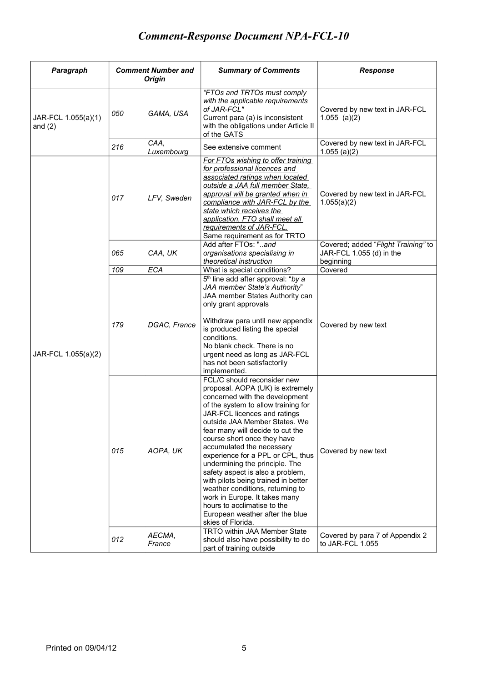| Paragraph                        |     | <b>Comment Number and</b><br><b>Origin</b> | <b>Summary of Comments</b>                                                                                                                                                                                                                                                                                                                                                                                                                                                                                                                                                                                                                              | <b>Response</b>                                                              |
|----------------------------------|-----|--------------------------------------------|---------------------------------------------------------------------------------------------------------------------------------------------------------------------------------------------------------------------------------------------------------------------------------------------------------------------------------------------------------------------------------------------------------------------------------------------------------------------------------------------------------------------------------------------------------------------------------------------------------------------------------------------------------|------------------------------------------------------------------------------|
| JAR-FCL 1.055(a)(1)<br>and $(2)$ | 050 | GAMA, USA                                  | "FTOs and TRTOs must comply<br>with the applicable requirements<br>of JAR-FCL"<br>Current para (a) is inconsistent<br>with the obligations under Article II<br>of the GATS                                                                                                                                                                                                                                                                                                                                                                                                                                                                              | Covered by new text in JAR-FCL<br>$1.055$ (a)(2)                             |
|                                  | 216 | CAA,<br>Luxembourg                         | See extensive comment                                                                                                                                                                                                                                                                                                                                                                                                                                                                                                                                                                                                                                   | Covered by new text in JAR-FCL<br>$1.055$ (a)(2)                             |
|                                  | 017 | LFV, Sweden                                | For FTOs wishing to offer training<br>for professional licences and<br>associated ratings when located<br>outside a JAA full member State,<br>approval will be granted when in<br>compliance with JAR-FCL by the<br>state which receives the<br>application. FTO shall meet all<br>requirements of JAR-FCL.<br>Same requirement as for TRTO                                                                                                                                                                                                                                                                                                             | Covered by new text in JAR-FCL<br>1.055(a)(2)                                |
|                                  | 065 | CAA, UK                                    | Add after FTOs: "and<br>organisations specialising in<br>theoretical instruction                                                                                                                                                                                                                                                                                                                                                                                                                                                                                                                                                                        | Covered; added "Flight Training" to<br>JAR-FCL 1.055 (d) in the<br>beginning |
|                                  | 109 | <b>ECA</b>                                 | What is special conditions?                                                                                                                                                                                                                                                                                                                                                                                                                                                                                                                                                                                                                             | Covered                                                                      |
| JAR-FCL 1.055(a)(2)              | 179 | DGAC, France                               | 5 <sup>th</sup> line add after approval: "by a<br>JAA member State's Authority"<br>JAA member States Authority can<br>only grant approvals<br>Withdraw para until new appendix<br>is produced listing the special<br>conditions.<br>No blank check. There is no<br>urgent need as long as JAR-FCL<br>has not been satisfactorily<br>implemented.                                                                                                                                                                                                                                                                                                        | Covered by new text                                                          |
|                                  | 015 | AOPA, UK                                   | FCL/C should reconsider new<br>proposal. AOPA (UK) is extremely<br>concerned with the development<br>of the system to allow training for<br>JAR-FCL licences and ratings<br>outside JAA Member States. We<br>fear many will decide to cut the<br>course short once they have<br>accumulated the necessary<br>experience for a PPL or CPL, thus<br>undermining the principle. The<br>safety aspect is also a problem,<br>with pilots being trained in better<br>weather conditions, returning to<br>work in Europe. It takes many<br>hours to acclimatise to the<br>European weather after the blue<br>skies of Florida.<br>TRTO within JAA Member State | Covered by new text                                                          |
|                                  | 012 | AECMA,<br>France                           | should also have possibility to do<br>part of training outside                                                                                                                                                                                                                                                                                                                                                                                                                                                                                                                                                                                          | Covered by para 7 of Appendix 2<br>to JAR-FCL 1.055                          |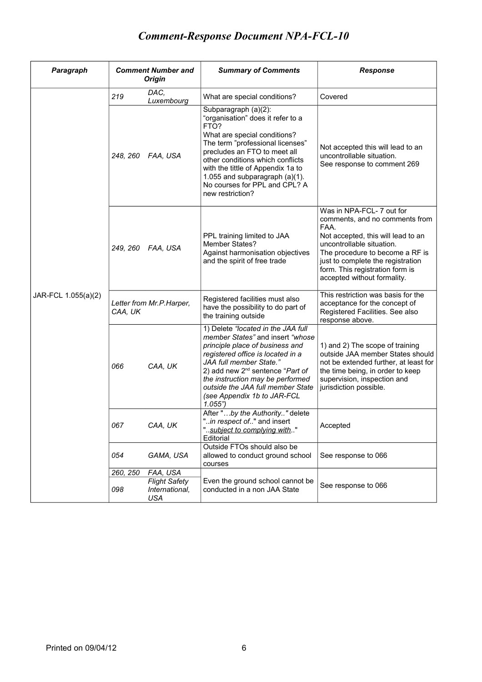| Paragraph           |                                     | <b>Comment Number and</b><br>Origin                       | <b>Summary of Comments</b>                                                                                                                                                                                                                                                                                                                  | <b>Response</b>                                                                                                                                                                                                                                                                  |
|---------------------|-------------------------------------|-----------------------------------------------------------|---------------------------------------------------------------------------------------------------------------------------------------------------------------------------------------------------------------------------------------------------------------------------------------------------------------------------------------------|----------------------------------------------------------------------------------------------------------------------------------------------------------------------------------------------------------------------------------------------------------------------------------|
|                     | 219                                 | DAC,<br>Luxembourg                                        | What are special conditions?                                                                                                                                                                                                                                                                                                                | Covered                                                                                                                                                                                                                                                                          |
|                     |                                     | 248, 260 FAA, USA                                         | Subparagraph (a)(2):<br>"organisation" does it refer to a<br>FTO?<br>What are special conditions?<br>The term "professional licenses"<br>precludes an FTO to meet all<br>other conditions which conflicts<br>with the tittle of Appendix 1a to<br>1.055 and subparagraph (a)(1).<br>No courses for PPL and CPL? A<br>new restriction?       | Not accepted this will lead to an<br>uncontrollable situation.<br>See response to comment 269                                                                                                                                                                                    |
| JAR-FCL 1.055(a)(2) |                                     | 249, 260 FAA, USA                                         | PPL training limited to JAA<br><b>Member States?</b><br>Against harmonisation objectives<br>and the spirit of free trade                                                                                                                                                                                                                    | Was in NPA-FCL- 7 out for<br>comments, and no comments from<br>FAA.<br>Not accepted, this will lead to an<br>uncontrollable situation.<br>The procedure to become a RF is<br>just to complete the registration<br>form. This registration form is<br>accepted without formality. |
|                     | Letter from Mr.P.Harper,<br>CAA, UK |                                                           | Registered facilities must also<br>have the possibility to do part of<br>the training outside                                                                                                                                                                                                                                               | This restriction was basis for the<br>acceptance for the concept of<br>Registered Facilities. See also<br>response above.                                                                                                                                                        |
|                     | 066                                 | CAA, UK                                                   | 1) Delete "located in the JAA full<br>member States" and insert "whose<br>principle place of business and<br>registered office is located in a<br>JAA full member State."<br>2) add new 2 <sup>nd</sup> sentence "Part of<br>the instruction may be performed<br>outside the JAA full member State<br>(see Appendix 1b to JAR-FCL<br>1.055" | 1) and 2) The scope of training<br>outside JAA member States should<br>not be extended further, at least for<br>the time being, in order to keep<br>supervision, inspection and<br>jurisdiction possible.                                                                        |
|                     | 067                                 | CAA, UK                                                   | After "by the Authority" delete<br>"in respect of" and insert<br>"subject to complying with"<br>Editorial                                                                                                                                                                                                                                   | Accepted                                                                                                                                                                                                                                                                         |
|                     | 054                                 | GAMA, USA                                                 | Outside FTOs should also be<br>allowed to conduct ground school<br>courses                                                                                                                                                                                                                                                                  | See response to 066                                                                                                                                                                                                                                                              |
|                     | 260, 250<br>098                     | FAA, USA<br><b>Flight Safety</b><br>International,<br>USA | Even the ground school cannot be<br>conducted in a non JAA State                                                                                                                                                                                                                                                                            | See response to 066                                                                                                                                                                                                                                                              |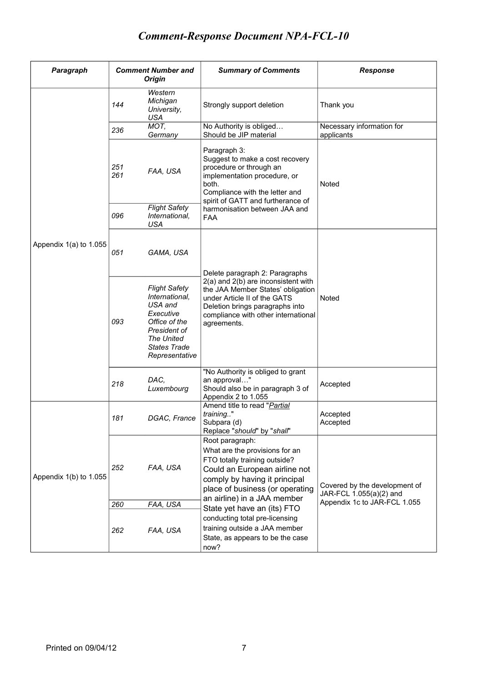| Paragraph              |            | <b>Comment Number and</b><br><b>Origin</b>                                                                                                                    | <b>Summary of Comments</b>                                                                                                                                                                                             | <b>Response</b>                                          |  |
|------------------------|------------|---------------------------------------------------------------------------------------------------------------------------------------------------------------|------------------------------------------------------------------------------------------------------------------------------------------------------------------------------------------------------------------------|----------------------------------------------------------|--|
|                        | 144        | Western<br>Michigan<br>University,<br>USA                                                                                                                     | Strongly support deletion                                                                                                                                                                                              | Thank you                                                |  |
|                        | 236        | MOT,<br>Germany                                                                                                                                               | No Authority is obliged<br>Should be JIP material                                                                                                                                                                      | Necessary information for<br>applicants                  |  |
|                        | 251<br>261 | FAA, USA                                                                                                                                                      | Paragraph 3:<br>Suggest to make a cost recovery<br>procedure or through an<br>implementation procedure, or<br>both.<br>Compliance with the letter and<br>spirit of GATT and furtherance of                             | Noted                                                    |  |
|                        | 096        | <b>Flight Safety</b><br>International,<br>USA                                                                                                                 | harmonisation between JAA and<br><b>FAA</b>                                                                                                                                                                            |                                                          |  |
| Appendix 1(a) to 1.055 | 051        | GAMA, USA                                                                                                                                                     | Delete paragraph 2: Paragraphs                                                                                                                                                                                         |                                                          |  |
|                        | 093        | <b>Flight Safety</b><br>International,<br>USA and<br>Executive<br>Office of the<br>President of<br><b>The United</b><br><b>States Trade</b><br>Representative | 2(a) and 2(b) are inconsistent with<br>the JAA Member States' obligation<br>under Article II of the GATS<br>Deletion brings paragraphs into<br>compliance with other international<br>agreements.                      | Noted                                                    |  |
|                        | 218        | DAC,<br>Luxembourg                                                                                                                                            | "No Authority is obliged to grant<br>an approval"<br>Should also be in paragraph 3 of<br>Appendix 2 to 1.055                                                                                                           | Accepted                                                 |  |
|                        | 181        | DGAC, France                                                                                                                                                  | Amend title to read "Partial<br>training"<br>Subpara (d)<br>Replace "should" by "shall"                                                                                                                                | Accepted<br>Accepted                                     |  |
| Appendix 1(b) to 1.055 | 252        | FAA, USA                                                                                                                                                      | Root paragraph:<br>What are the provisions for an<br>FTO totally training outside?<br>Could an European airline not<br>comply by having it principal<br>place of business (or operating<br>an airline) in a JAA member | Covered by the development of<br>JAR-FCL 1.055(a)(2) and |  |
|                        | 260        | FAA, USA                                                                                                                                                      | State yet have an (its) FTO                                                                                                                                                                                            | Appendix 1c to JAR-FCL 1.055                             |  |
|                        | 262        | FAA, USA                                                                                                                                                      | conducting total pre-licensing<br>training outside a JAA member<br>State, as appears to be the case<br>now?                                                                                                            |                                                          |  |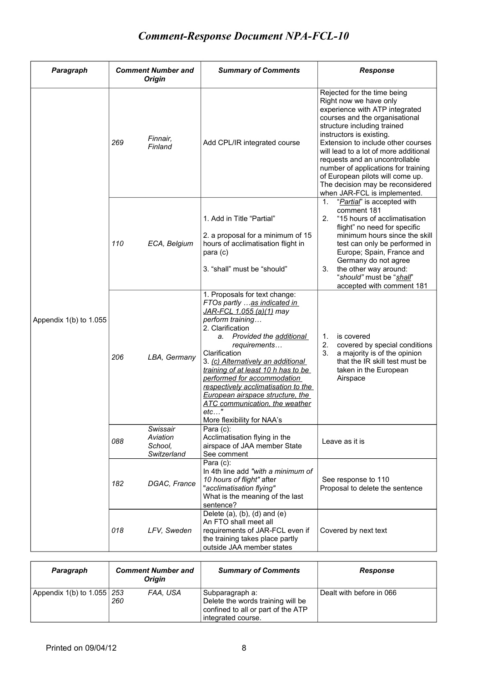| Paragraph              |     | <b>Comment Number and</b><br><b>Origin</b>     | <b>Summary of Comments</b>                                                                                                                                                                                                                                                                                                                                                                                                                                                   | <b>Response</b>                                                                                                                                                                                                                                                                                                                                                                                                                                      |
|------------------------|-----|------------------------------------------------|------------------------------------------------------------------------------------------------------------------------------------------------------------------------------------------------------------------------------------------------------------------------------------------------------------------------------------------------------------------------------------------------------------------------------------------------------------------------------|------------------------------------------------------------------------------------------------------------------------------------------------------------------------------------------------------------------------------------------------------------------------------------------------------------------------------------------------------------------------------------------------------------------------------------------------------|
| Appendix 1(b) to 1.055 | 269 | Finnair,<br>Finland                            | Add CPL/IR integrated course                                                                                                                                                                                                                                                                                                                                                                                                                                                 | Rejected for the time being<br>Right now we have only<br>experience with ATP integrated<br>courses and the organisational<br>structure including trained<br>instructors is existing.<br>Extension to include other courses<br>will lead to a lot of more additional<br>requests and an uncontrollable<br>number of applications for training<br>of European pilots will come up.<br>The decision may be reconsidered<br>when JAR-FCL is implemented. |
|                        | 110 | ECA, Belgium                                   | 1. Add in Title "Partial"<br>2. a proposal for a minimum of 15<br>hours of acclimatisation flight in<br>para (c)<br>3. "shall" must be "should"                                                                                                                                                                                                                                                                                                                              | "Partial" is accepted with<br>1.<br>comment 181<br>2.<br>"15 hours of acclimatisation<br>flight" no need for specific<br>minimum hours since the skill<br>test can only be performed in<br>Europe; Spain, France and<br>Germany do not agree<br>3.<br>the other way around:<br>"should" must be "shall"<br>accepted with comment 181                                                                                                                 |
|                        | 206 | LBA, Germany                                   | 1. Proposals for text change:<br>FTOs partly  as indicated in<br>JAR-FCL 1.055 (a)(1) may<br>perform training<br>2. Clarification<br>Provided the additional<br>a.<br>requirements<br>Clarification<br>3. (c) Alternatively an additional<br>training of at least 10 h has to be<br>performed for accommodation<br>respectively acclimatisation to the<br>European airspace structure, the<br><b>ATC</b> communication, the weather<br>$etc$ "<br>More flexibility for NAA's | 1 <sub>1</sub><br>is covered<br>2.<br>covered by special conditions<br>3.<br>a majority is of the opinion<br>that the IR skill test must be<br>taken in the European<br>Airspace                                                                                                                                                                                                                                                                     |
|                        | 088 | Swissair<br>Aviation<br>School,<br>Switzerland | Para (c):<br>Acclimatisation flying in the<br>airspace of JAA member State<br>See comment                                                                                                                                                                                                                                                                                                                                                                                    | Leave as it is                                                                                                                                                                                                                                                                                                                                                                                                                                       |
|                        | 182 | DGAC, France                                   | Para (c):<br>In 4th line add "with a minimum of<br>10 hours of flight" after<br>"acclimatisation flying"<br>What is the meaning of the last<br>sentence?                                                                                                                                                                                                                                                                                                                     | See response to 110<br>Proposal to delete the sentence                                                                                                                                                                                                                                                                                                                                                                                               |
|                        | 018 | LFV, Sweden                                    | Delete $(a)$ , $(b)$ , $(d)$ and $(e)$<br>An FTO shall meet all<br>requirements of JAR-FCL even if<br>the training takes place partly<br>outside JAA member states                                                                                                                                                                                                                                                                                                           | Covered by next text                                                                                                                                                                                                                                                                                                                                                                                                                                 |

| Paragraph                  | <b>Comment Number and</b><br>Origin | <b>Summary of Comments</b>                                                                                       | <b>Response</b>          |
|----------------------------|-------------------------------------|------------------------------------------------------------------------------------------------------------------|--------------------------|
| Appendix 1(b) to 1.055 253 | FAA. USA<br>260                     | Subparagraph a:<br>Delete the words training will be<br>confined to all or part of the ATP<br>integrated course. | Dealt with before in 066 |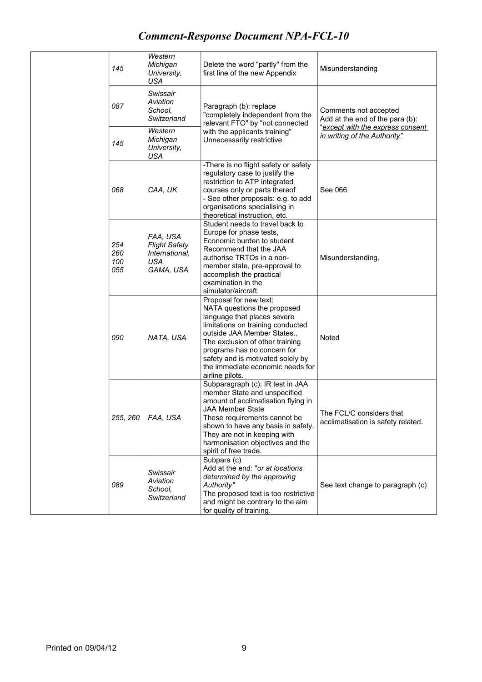| 145                      | Western<br>Michigan<br>University,<br><b>USA</b>                              | Delete the word "partly" from the<br>first line of the new Appendix                                                                                                                                                                                                                                                  | Misunderstanding                                                 |
|--------------------------|-------------------------------------------------------------------------------|----------------------------------------------------------------------------------------------------------------------------------------------------------------------------------------------------------------------------------------------------------------------------------------------------------------------|------------------------------------------------------------------|
| 087                      | Swissair<br>Aviation<br>School.<br>Switzerland                                | Paragraph (b): replace<br>"completely independent from the<br>relevant FTO" by "not connected                                                                                                                                                                                                                        | Comments not accepted<br>Add at the end of the para (b):         |
| 145                      | Western<br>Michigan<br>University,<br><b>USA</b>                              | with the applicants training"<br>Unnecessarily restrictive                                                                                                                                                                                                                                                           | "except with the express consent<br>in writing of the Authority" |
| 068                      | CAA, UK                                                                       | -There is no flight safety or safety<br>regulatory case to justify the<br>restriction to ATP integrated<br>courses only or parts thereof<br>- See other proposals: e.g. to add<br>organisations specialising in<br>theoretical instruction, etc.                                                                     | See 066                                                          |
| 254<br>260<br>100<br>055 | FAA, USA<br><b>Flight Safety</b><br>International,<br><b>USA</b><br>GAMA, USA | Student needs to travel back to<br>Europe for phase tests,<br>Economic burden to student<br>Recommend that the JAA<br>authorise TRTOs in a non-<br>member state, pre-approval to<br>accomplish the practical<br>examination in the<br>simulator/aircraft.                                                            | Misunderstanding.                                                |
| 090                      | NATA, USA                                                                     | Proposal for new text:<br>NATA questions the proposed<br>language that places severe<br>limitations on training conducted<br>outside JAA Member States<br>The exclusion of other training<br>programs has no concern for<br>safety and is motivated solely by<br>the immediate economic needs for<br>airline pilots. | Noted                                                            |
|                          | 255, 260 FAA, USA                                                             | Subparagraph (c): IR test in JAA<br>member State and unspecified<br>amount of acclimatisation flying in<br>JAA Member State<br>These requirements cannot be<br>shown to have any basis in safety.<br>They are not in keeping with<br>harmonisation objectives and the<br>spirit of free trade.                       | The FCL/C considers that<br>acclimatisation is safety related.   |
| 089                      | Swissair<br>Aviation<br>School.<br>Switzerland                                | Subpara (c)<br>Add at the end: "or at locations<br>determined by the approving<br>Authority"<br>The proposed text is too restrictive<br>and might be contrary to the aim<br>for quality of training.                                                                                                                 | See text change to paragraph (c)                                 |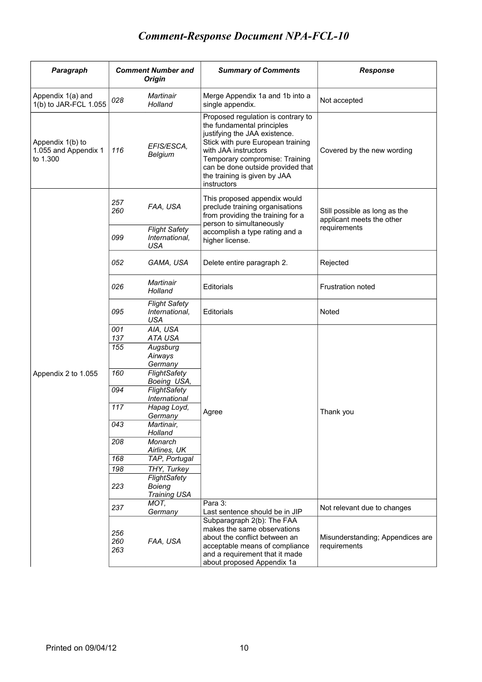| Paragraph                                            |            | <b>Comment Number and</b><br><b>Origin</b>           | <b>Summary of Comments</b>                                                                                                                                                                                                                                                           | <b>Response</b>                                            |
|------------------------------------------------------|------------|------------------------------------------------------|--------------------------------------------------------------------------------------------------------------------------------------------------------------------------------------------------------------------------------------------------------------------------------------|------------------------------------------------------------|
| Appendix 1(a) and<br>1(b) to JAR-FCL 1.055           | 028        | Martinair<br>Holland                                 | Merge Appendix 1a and 1b into a<br>single appendix.                                                                                                                                                                                                                                  | Not accepted                                               |
| Appendix 1(b) to<br>1.055 and Appendix 1<br>to 1.300 | 116        | EFIS/ESCA,<br><b>Belgium</b>                         | Proposed regulation is contrary to<br>the fundamental principles<br>justifying the JAA existence.<br>Stick with pure European training<br>with JAA instructors<br>Temporary compromise: Training<br>can be done outside provided that<br>the training is given by JAA<br>instructors | Covered by the new wording                                 |
|                                                      | 257<br>260 | FAA, USA                                             | This proposed appendix would<br>preclude training organisations<br>from providing the training for a<br>person to simultaneously                                                                                                                                                     | Still possible as long as the<br>applicant meets the other |
|                                                      | 099        | <b>Flight Safety</b><br>International,<br>USA        | accomplish a type rating and a<br>higher license.                                                                                                                                                                                                                                    | requirements                                               |
|                                                      | 052        | GAMA, USA                                            | Delete entire paragraph 2.                                                                                                                                                                                                                                                           | Rejected                                                   |
|                                                      | 026        | Martinair<br>Holland                                 | Editorials                                                                                                                                                                                                                                                                           | Frustration noted                                          |
|                                                      | 095        | <b>Flight Safety</b><br>International,<br><b>USA</b> | Editorials                                                                                                                                                                                                                                                                           | Noted                                                      |
|                                                      | 001        | AIA, USA                                             |                                                                                                                                                                                                                                                                                      | Thank you                                                  |
|                                                      | 137<br>155 | ATA USA<br>Augsburg                                  |                                                                                                                                                                                                                                                                                      |                                                            |
|                                                      |            | Airways                                              |                                                                                                                                                                                                                                                                                      |                                                            |
|                                                      |            | Germany                                              |                                                                                                                                                                                                                                                                                      |                                                            |
| Appendix 2 to 1.055                                  | 160        | FlightSafety<br>Boeing USA,                          |                                                                                                                                                                                                                                                                                      |                                                            |
|                                                      | 094        | FlightSafety                                         |                                                                                                                                                                                                                                                                                      |                                                            |
|                                                      | 117        | International<br>Hapag Loyd,                         |                                                                                                                                                                                                                                                                                      |                                                            |
|                                                      |            | Germany                                              | Agree                                                                                                                                                                                                                                                                                |                                                            |
|                                                      | 043        | Martinair,                                           |                                                                                                                                                                                                                                                                                      |                                                            |
|                                                      | 208        | Holland<br>Monarch                                   |                                                                                                                                                                                                                                                                                      |                                                            |
|                                                      |            | Airlines, UK                                         |                                                                                                                                                                                                                                                                                      |                                                            |
|                                                      | 168        | TAP, Portugal                                        |                                                                                                                                                                                                                                                                                      |                                                            |
|                                                      | 198        | THY, Turkey                                          |                                                                                                                                                                                                                                                                                      |                                                            |
|                                                      | 223        | FlightSafety<br><b>Boieng</b>                        |                                                                                                                                                                                                                                                                                      |                                                            |
|                                                      |            | <b>Training USA</b>                                  |                                                                                                                                                                                                                                                                                      |                                                            |
|                                                      | 237        | MOT,                                                 | Para 3:                                                                                                                                                                                                                                                                              | Not relevant due to changes                                |
|                                                      |            | Germany                                              | Last sentence should be in JIP<br>Subparagraph 2(b): The FAA                                                                                                                                                                                                                         |                                                            |
|                                                      | 256        |                                                      | makes the same observations                                                                                                                                                                                                                                                          |                                                            |
|                                                      | 260        | FAA, USA                                             | about the conflict between an                                                                                                                                                                                                                                                        | Misunderstanding; Appendices are                           |
|                                                      | 263        |                                                      | acceptable means of compliance<br>and a requirement that it made<br>about proposed Appendix 1a                                                                                                                                                                                       | requirements                                               |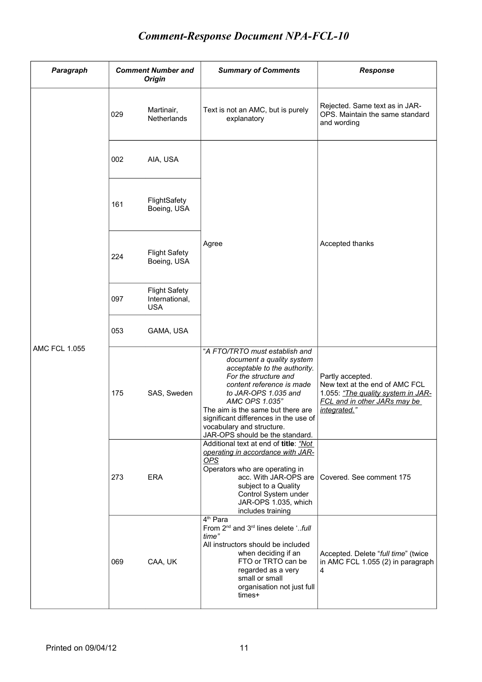| Paragraph            |     | <b>Comment Number and</b><br><b>Origin</b>           | <b>Summary of Comments</b>                                                                                                                                                                                                                                                                                                                | <b>Response</b>                                                                                                                          |
|----------------------|-----|------------------------------------------------------|-------------------------------------------------------------------------------------------------------------------------------------------------------------------------------------------------------------------------------------------------------------------------------------------------------------------------------------------|------------------------------------------------------------------------------------------------------------------------------------------|
|                      | 029 | Martinair,<br>Netherlands                            | Text is not an AMC, but is purely<br>explanatory                                                                                                                                                                                                                                                                                          | Rejected. Same text as in JAR-<br>OPS. Maintain the same standard<br>and wording                                                         |
|                      | 002 | AIA, USA                                             |                                                                                                                                                                                                                                                                                                                                           |                                                                                                                                          |
|                      | 161 | FlightSafety<br>Boeing, USA                          | Agree                                                                                                                                                                                                                                                                                                                                     |                                                                                                                                          |
|                      | 224 | <b>Flight Safety</b><br>Boeing, USA                  |                                                                                                                                                                                                                                                                                                                                           | Accepted thanks                                                                                                                          |
|                      | 097 | <b>Flight Safety</b><br>International,<br><b>USA</b> |                                                                                                                                                                                                                                                                                                                                           |                                                                                                                                          |
|                      | 053 | GAMA, USA                                            |                                                                                                                                                                                                                                                                                                                                           |                                                                                                                                          |
| <b>AMC FCL 1.055</b> | 175 | SAS, Sweden                                          | "A FTO/TRTO must establish and<br>document a quality system<br>acceptable to the authority.<br>For the structure and<br>content reference is made<br>to JAR-OPS 1.035 and<br>AMC OPS 1.035"<br>The aim is the same but there are<br>significant differences in the use of<br>vocabulary and structure.<br>JAR-OPS should be the standard. | Partly accepted.<br>New text at the end of AMC FCL<br>1.055: "The quality system in JAR-<br>FCL and in other JARs may be<br>integrated." |
|                      | 273 | <b>ERA</b>                                           | Additional text at end of title: "Not<br>operating in accordance with JAR-<br><b>OPS</b><br>Operators who are operating in<br>acc. With JAR-OPS are<br>subject to a Quality<br>Control System under<br>JAR-OPS 1.035, which<br>includes training                                                                                          | Covered. See comment 175                                                                                                                 |
|                      | 069 | CAA, UK                                              | 4 <sup>th</sup> Para<br>From 2 <sup>nd</sup> and 3 <sup>rd</sup> lines delete 'full<br>time"<br>All instructors should be included<br>when deciding if an<br>FTO or TRTO can be<br>regarded as a very<br>small or small<br>organisation not just full<br>times+                                                                           | Accepted. Delete "full time" (twice<br>in AMC FCL 1.055 (2) in paragraph<br>4                                                            |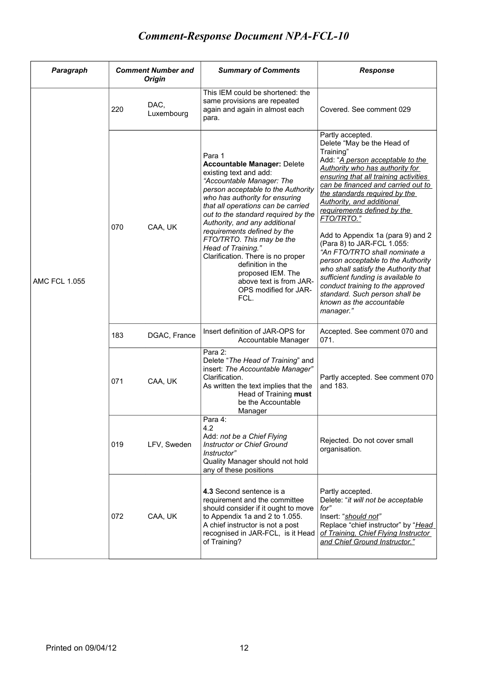| Paragraph            |     | <b>Comment Number and</b><br><b>Origin</b> | <b>Summary of Comments</b>                                                                                                                                                                                                                                                                                                                                                                                                                                                                                             | <b>Response</b>                                                                                                                                                                                                                                                                                                                                                                                                                                                                                                                                                                                                                                                     |
|----------------------|-----|--------------------------------------------|------------------------------------------------------------------------------------------------------------------------------------------------------------------------------------------------------------------------------------------------------------------------------------------------------------------------------------------------------------------------------------------------------------------------------------------------------------------------------------------------------------------------|---------------------------------------------------------------------------------------------------------------------------------------------------------------------------------------------------------------------------------------------------------------------------------------------------------------------------------------------------------------------------------------------------------------------------------------------------------------------------------------------------------------------------------------------------------------------------------------------------------------------------------------------------------------------|
|                      | 220 | DAC,<br>Luxembourg                         | This IEM could be shortened: the<br>same provisions are repeated<br>again and again in almost each<br>para.                                                                                                                                                                                                                                                                                                                                                                                                            | Covered. See comment 029                                                                                                                                                                                                                                                                                                                                                                                                                                                                                                                                                                                                                                            |
| <b>AMC FCL 1.055</b> | 070 | CAA, UK                                    | Para 1<br><b>Accountable Manager: Delete</b><br>existing text and add:<br>"Accountable Manager: The<br>person acceptable to the Authority<br>who has authority for ensuring<br>that all operations can be carried<br>out to the standard required by the<br>Authority, and any additional<br>requirements defined by the<br>FTO/TRTO. This may be the<br>Head of Training."<br>Clarification. There is no proper<br>definition in the<br>proposed IEM. The<br>above text is from JAR-<br>OPS modified for JAR-<br>FCL. | Partly accepted.<br>Delete "May be the Head of<br>Training"<br>Add: "A person acceptable to the<br>Authority who has authority for<br>ensuring that all training activities<br>can be financed and carried out to<br>the standards required by the<br>Authority, and additional<br>requirements defined by the<br>FTO/TRTO."<br>Add to Appendix 1a (para 9) and 2<br>(Para 8) to JAR-FCL 1.055:<br>"An FTO/TRTO shall nominate a<br>person acceptable to the Authority<br>who shall satisfy the Authority that<br>sufficient funding is available to<br>conduct training to the approved<br>standard. Such person shall be<br>known as the accountable<br>manager." |
|                      | 183 | DGAC, France                               | Insert definition of JAR-OPS for<br>Accountable Manager                                                                                                                                                                                                                                                                                                                                                                                                                                                                | Accepted. See comment 070 and<br>071.                                                                                                                                                                                                                                                                                                                                                                                                                                                                                                                                                                                                                               |
|                      | 071 | CAA, UK                                    | Para 2:<br>Delete "The Head of Training" and<br>insert: The Accountable Manager"<br>Clarification.<br>As written the text implies that the<br>Head of Training must<br>be the Accountable<br>Manager                                                                                                                                                                                                                                                                                                                   | Partly accepted. See comment 070<br>and 183.                                                                                                                                                                                                                                                                                                                                                                                                                                                                                                                                                                                                                        |
|                      | 019 | LFV, Sweden                                | Para 4:<br>4.2<br>Add: not be a Chief Flying<br>Instructor or Chief Ground<br>Instructor"<br>Quality Manager should not hold<br>any of these positions                                                                                                                                                                                                                                                                                                                                                                 | Rejected. Do not cover small<br>organisation.                                                                                                                                                                                                                                                                                                                                                                                                                                                                                                                                                                                                                       |
|                      | 072 | CAA, UK                                    | 4.3 Second sentence is a<br>requirement and the committee<br>should consider if it ought to move<br>to Appendix 1a and 2 to 1.055.<br>A chief instructor is not a post<br>recognised in JAR-FCL, is it Head<br>of Training?                                                                                                                                                                                                                                                                                            | Partly accepted.<br>Delete: "it will not be acceptable<br>for"<br>Insert: "should not"<br>Replace "chief instructor" by "Head<br>of Training, Chief Flying Instructor<br>and Chief Ground Instructor."                                                                                                                                                                                                                                                                                                                                                                                                                                                              |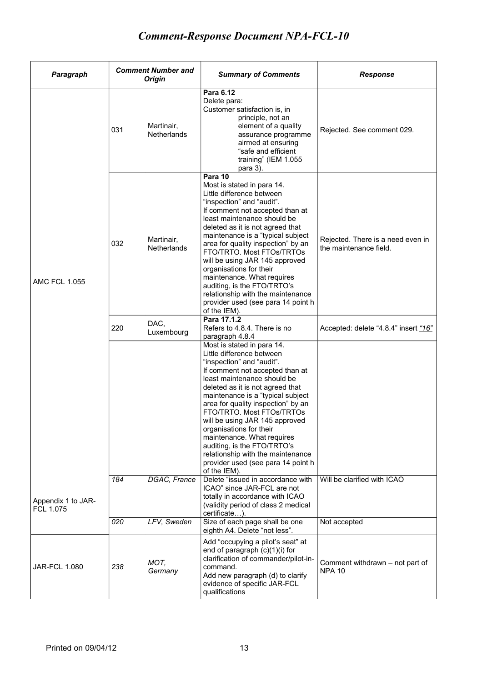| Paragraph                       | <b>Comment Number and</b><br><b>Origin</b> | <b>Summary of Comments</b>                                                                                                                                                                                                                                                                                                                                                                                                                                                                                                         | <b>Response</b>                                             |
|---------------------------------|--------------------------------------------|------------------------------------------------------------------------------------------------------------------------------------------------------------------------------------------------------------------------------------------------------------------------------------------------------------------------------------------------------------------------------------------------------------------------------------------------------------------------------------------------------------------------------------|-------------------------------------------------------------|
|                                 | Martinair,<br>031<br>Netherlands           | Para 6.12<br>Delete para:<br>Customer satisfaction is, in<br>principle, not an<br>element of a quality<br>assurance programme<br>airmed at ensuring<br>"safe and efficient<br>training" (IEM 1.055<br>para 3).                                                                                                                                                                                                                                                                                                                     | Rejected. See comment 029.                                  |
| <b>AMC FCL 1.055</b>            | Martinair,<br>032<br><b>Netherlands</b>    | Para 10<br>Most is stated in para 14.<br>Little difference between<br>"inspection" and "audit".<br>If comment not accepted than at<br>least maintenance should be<br>deleted as it is not agreed that<br>maintenance is a "typical subject<br>area for quality inspection" by an<br>FTO/TRTO. Most FTOs/TRTOs<br>will be using JAR 145 approved<br>organisations for their<br>maintenance. What requires<br>auditing, is the FTO/TRTO's<br>relationship with the maintenance<br>provider used (see para 14 point h<br>of the IEM). | Rejected. There is a need even in<br>the maintenance field. |
|                                 | DAC,<br>220<br>Luxembourg                  | Para 17.1.2<br>Refers to 4.8.4. There is no<br>paragraph 4.8.4                                                                                                                                                                                                                                                                                                                                                                                                                                                                     | Accepted: delete "4.8.4" insert "16"                        |
|                                 |                                            | Most is stated in para 14.<br>Little difference between<br>"inspection" and "audit".<br>If comment not accepted than at<br>least maintenance should be<br>deleted as it is not agreed that<br>maintenance is a "typical subject<br>area for quality inspection" by an<br>FTO/TRTO. Most FTOs/TRTOs<br>will be using JAR 145 approved<br>organisations for their<br>maintenance. What requires<br>auditing, is the FTO/TRTO's<br>relationship with the maintenance<br>provider used (see para 14 point h<br>of the IEM).            |                                                             |
| Appendix 1 to JAR-<br>FCL 1.075 | DGAC, France<br>184                        | Delete "issued in accordance with<br>ICAO" since JAR-FCL are not<br>totally in accordance with ICAO<br>(validity period of class 2 medical<br>certificate).                                                                                                                                                                                                                                                                                                                                                                        | Will be clarified with ICAO                                 |
|                                 | LFV, Sweden<br>020                         | Size of each page shall be one<br>eighth A4. Delete "not less".                                                                                                                                                                                                                                                                                                                                                                                                                                                                    | Not accepted                                                |
| <b>JAR-FCL 1.080</b>            | MOT,<br>238<br>Germany                     | Add "occupying a pilot's seat" at<br>end of paragraph (c)(1)(i) for<br>clarification of commander/pilot-in-<br>command.<br>Add new paragraph (d) to clarify<br>evidence of specific JAR-FCL<br>qualifications                                                                                                                                                                                                                                                                                                                      | Comment withdrawn - not part of<br><b>NPA 10</b>            |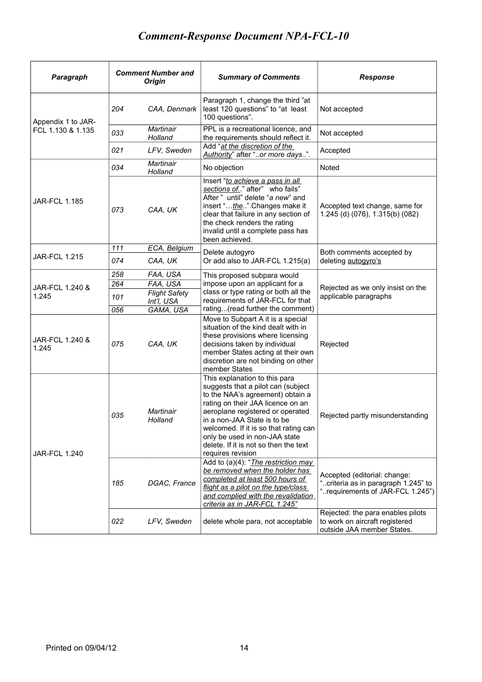| Paragraph                |            | <b>Comment Number and</b><br><b>Origin</b>     | <b>Summary of Comments</b>                                                                                                                                                                                                                                                                                                                              | <b>Response</b>                                                                                        |
|--------------------------|------------|------------------------------------------------|---------------------------------------------------------------------------------------------------------------------------------------------------------------------------------------------------------------------------------------------------------------------------------------------------------------------------------------------------------|--------------------------------------------------------------------------------------------------------|
| Appendix 1 to JAR-       | 204        | CAA, Denmark                                   | Paragraph 1, change the third "at<br>least 120 questions" to "at least<br>100 questions".                                                                                                                                                                                                                                                               | Not accepted                                                                                           |
| FCL 1.130 & 1.135        | 033        | Martinair<br>Holland                           | PPL is a recreational licence, and<br>the requirements should reflect it.                                                                                                                                                                                                                                                                               | Not accepted                                                                                           |
|                          | 021        | LFV, Sweden                                    | Add "at the discretion of the<br>Authority" after "or more days".                                                                                                                                                                                                                                                                                       | Accepted                                                                                               |
|                          | 034        | Martinair<br>Holland                           | No objection                                                                                                                                                                                                                                                                                                                                            | Noted                                                                                                  |
| <b>JAR-FCL 1.185</b>     | 073        | CAA, UK                                        | Insert "to achieve a pass in all<br>sections of " after" who fails"<br>After " until" delete "a new" and<br>insert " <i>the</i> ". Changes make it<br>clear that failure in any section of<br>the check renders the rating<br>invalid until a complete pass has<br>been achieved.                                                                       | Accepted text change, same for<br>1.245 (d) (076), 1.315(b) (082)                                      |
|                          | 111        | ECA, Belgium                                   | Delete autogyro                                                                                                                                                                                                                                                                                                                                         | Both comments accepted by                                                                              |
| <b>JAR-FCL 1.215</b>     | 074        | CAA, UK                                        | Or add also to JAR-FCL 1.215(a)                                                                                                                                                                                                                                                                                                                         | deleting autogyro's                                                                                    |
|                          | 258        | FAA, USA                                       | This proposed subpara would                                                                                                                                                                                                                                                                                                                             |                                                                                                        |
| JAR-FCL 1.240 &<br>1.245 | 264<br>101 | FAA, USA<br><b>Flight Safety</b><br>Int'l, USA | impose upon an applicant for a<br>class or type rating or both all the<br>requirements of JAR-FCL for that                                                                                                                                                                                                                                              | Rejected as we only insist on the<br>applicable paragraphs                                             |
|                          | 056        | GAMA, USA                                      | rating(read further the comment)                                                                                                                                                                                                                                                                                                                        |                                                                                                        |
| JAR-FCL 1.240 &<br>1.245 | 075        | CAA, UK                                        | Move to Subpart A it is a special<br>situation of the kind dealt with in<br>these provisions where licensing<br>decisions taken by individual<br>member States acting at their own<br>discretion are not binding on other<br>member States                                                                                                              | Rejected                                                                                               |
| <b>JAR-FCL 1.240</b>     | 035        | Martinair<br>Holland                           | This explanation to this para<br>suggests that a pilot can (subject<br>to the NAA's agreement) obtain a<br>rating on their JAA licence on an<br>aeroplane registered or operated<br>in a non-JAA State is to be<br>welcomed. If it is so that rating can<br>only be used in non-JAA state<br>delete. If it is not so then the text<br>requires revision | Rejected partly misunderstanding                                                                       |
|                          | 185        | DGAC, France                                   | Add to (a)(4): "The restriction may<br>be removed when the holder has<br>completed at least 500 hours of<br>flight as a pilot on the type/class<br>and complied with the revalidation<br>criteria as in JAR-FCL 1.245"                                                                                                                                  | Accepted (editorial: change:<br>criteria as in paragraph 1.245" to<br>"requirements of JAR-FCL 1.245") |
|                          | 022        | LFV, Sweden                                    | delete whole para, not acceptable                                                                                                                                                                                                                                                                                                                       | Rejected: the para enables pilots<br>to work on aircraft registered<br>outside JAA member States.      |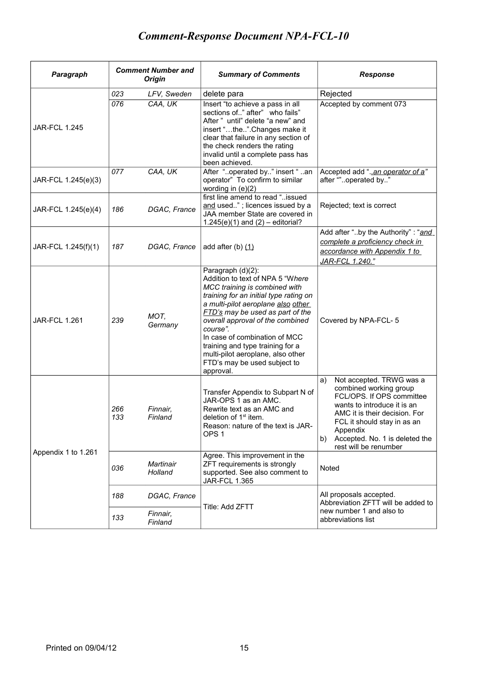| Paragraph            |            | <b>Comment Number and</b><br><b>Origin</b> | <b>Summary of Comments</b>                                                                                                                                                                                                                                                                                                                                                                                        | <b>Response</b>                                                                                                                                                                                                                                                   |
|----------------------|------------|--------------------------------------------|-------------------------------------------------------------------------------------------------------------------------------------------------------------------------------------------------------------------------------------------------------------------------------------------------------------------------------------------------------------------------------------------------------------------|-------------------------------------------------------------------------------------------------------------------------------------------------------------------------------------------------------------------------------------------------------------------|
|                      | 023        | LFV, Sweden                                | delete para                                                                                                                                                                                                                                                                                                                                                                                                       | Rejected                                                                                                                                                                                                                                                          |
| <b>JAR-FCL 1.245</b> | 076        | CAA, UK                                    | Insert "to achieve a pass in all<br>sections of" after" who fails"<br>After " until" delete "a new" and<br>insert "the". Changes make it<br>clear that failure in any section of<br>the check renders the rating<br>invalid until a complete pass has<br>been achieved.                                                                                                                                           | Accepted by comment 073                                                                                                                                                                                                                                           |
| JAR-FCL 1.245(e)(3)  | 077        | CAA, UK                                    | After "operated by" insert "an<br>operator" To confirm to similar<br>wording in $(e)(2)$                                                                                                                                                                                                                                                                                                                          | Accepted add "an operator of a"<br>after ""operated by"                                                                                                                                                                                                           |
| JAR-FCL 1.245(e)(4)  | 186        | DGAC, France                               | first line amend to read "issued<br>and used" ; licences issued by a<br>JAA member State are covered in<br>$1.245(e)(1)$ and $(2)$ – editorial?                                                                                                                                                                                                                                                                   | Rejected; text is correct                                                                                                                                                                                                                                         |
| JAR-FCL 1.245(f)(1)  | 187        | DGAC, France                               | add after $(b)$ $(1)$                                                                                                                                                                                                                                                                                                                                                                                             | Add after "by the Authority" : "and<br>complete a proficiency check in<br>accordance with Appendix 1 to<br>JAR-FCL 1.240."                                                                                                                                        |
| <b>JAR-FCL 1.261</b> | 239        | MOT,<br>Germany                            | Paragraph (d)(2):<br>Addition to text of NPA 5 "Where<br>MCC training is combined with<br>training for an initial type rating on<br>a multi-pilot aeroplane also other<br>FTD's may be used as part of the<br>overall approval of the combined<br>course".<br>In case of combination of MCC<br>training and type training for a<br>multi-pilot aeroplane, also other<br>FTD's may be used subject to<br>approval. | Covered by NPA-FCL-5                                                                                                                                                                                                                                              |
|                      | 266<br>133 | Finnair.<br>Finland                        | Transfer Appendix to Subpart N of<br>JAR-OPS 1 as an AMC.<br>Rewrite text as an AMC and<br>deletion of 1 <sup>st</sup> item.<br>Reason: nature of the text is JAR-<br>OPS <sub>1</sub>                                                                                                                                                                                                                            | Not accepted. TRWG was a<br>a)<br>combined working group<br>FCL/OPS. If OPS committee<br>wants to introduce it is an<br>AMC it is their decision. For<br>FCL it should stay in as an<br>Appendix<br>Accepted. No. 1 is deleted the<br>b)<br>rest will be renumber |
| Appendix 1 to 1.261  | 036        | Martinair<br>Holland                       | Agree. This improvement in the<br>ZFT requirements is strongly<br>supported. See also comment to<br><b>JAR-FCL 1.365</b>                                                                                                                                                                                                                                                                                          | Noted                                                                                                                                                                                                                                                             |
|                      | 188        | DGAC, France                               | Title: Add ZFTT                                                                                                                                                                                                                                                                                                                                                                                                   | All proposals accepted.<br>Abbreviation ZFTT will be added to                                                                                                                                                                                                     |
|                      | 133        | Finnair,<br>Finland                        |                                                                                                                                                                                                                                                                                                                                                                                                                   | new number 1 and also to<br>abbreviations list                                                                                                                                                                                                                    |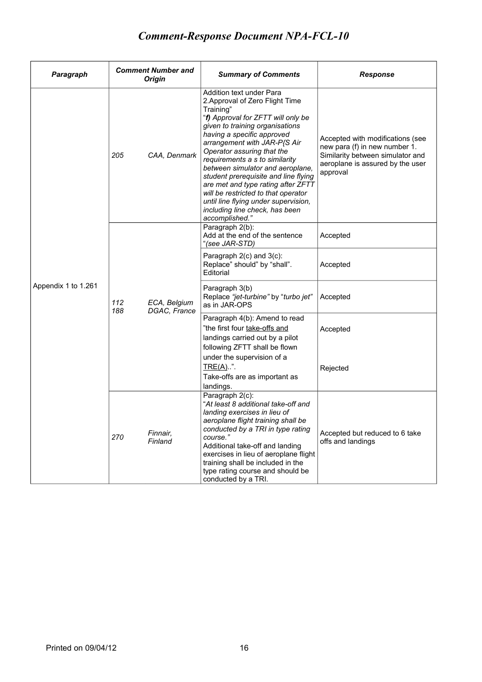| Paragraph           |            | <b>Comment Number and</b><br><b>Origin</b> | <b>Summary of Comments</b>                                                                                                                                                                                                                                                                                                                                                                                                                                                                                                           | <b>Response</b>                                                                                                                                       |
|---------------------|------------|--------------------------------------------|--------------------------------------------------------------------------------------------------------------------------------------------------------------------------------------------------------------------------------------------------------------------------------------------------------------------------------------------------------------------------------------------------------------------------------------------------------------------------------------------------------------------------------------|-------------------------------------------------------------------------------------------------------------------------------------------------------|
|                     | 205        | CAA, Denmark                               | Addition text under Para<br>2. Approval of Zero Flight Time<br>Training"<br>"f) Approval for ZFTT will only be<br>given to training organisations<br>having a specific approved<br>arrangement with JAR-P{S Air<br>Operator assuring that the<br>requirements a s to similarity<br>between simulator and aeroplane,<br>student prerequisite and line flying<br>are met and type rating after ZFTT<br>will be restricted to that operator<br>until line flying under supervision,<br>including line check, has been<br>accomplished." | Accepted with modifications (see<br>new para (f) in new number 1.<br>Similarity between simulator and<br>aeroplane is assured by the user<br>approval |
| Appendix 1 to 1.261 | 112<br>188 | ECA, Belgium<br>DGAC, France               | Paragraph 2(b):<br>Add at the end of the sentence<br>"(see JAR-STD)                                                                                                                                                                                                                                                                                                                                                                                                                                                                  | Accepted                                                                                                                                              |
|                     |            |                                            | Paragraph 2(c) and 3(c):<br>Replace" should" by "shall".<br>Editorial                                                                                                                                                                                                                                                                                                                                                                                                                                                                | Accepted                                                                                                                                              |
|                     |            |                                            | Paragraph 3(b)<br>Replace "jet-turbine" by "turbo jet"<br>as in JAR-OPS                                                                                                                                                                                                                                                                                                                                                                                                                                                              | Accepted                                                                                                                                              |
|                     |            |                                            | Paragraph 4(b): Amend to read<br>"the first four take-offs and<br>landings carried out by a pilot<br>following ZFTT shall be flown                                                                                                                                                                                                                                                                                                                                                                                                   | Accepted                                                                                                                                              |
|                     |            |                                            | under the supervision of a<br>$IRE(A)$ ".<br>Take-offs are as important as<br>landings.                                                                                                                                                                                                                                                                                                                                                                                                                                              | Rejected                                                                                                                                              |
|                     | 270        | Finnair,<br>Finland                        | Paragraph 2(c):<br>"At least 8 additional take-off and<br>landing exercises in lieu of<br>aeroplane flight training shall be<br>conducted by a TRI in type rating<br>course."<br>Additional take-off and landing<br>exercises in lieu of aeroplane flight<br>training shall be included in the<br>type rating course and should be<br>conducted by a TRI.                                                                                                                                                                            | Accepted but reduced to 6 take<br>offs and landings                                                                                                   |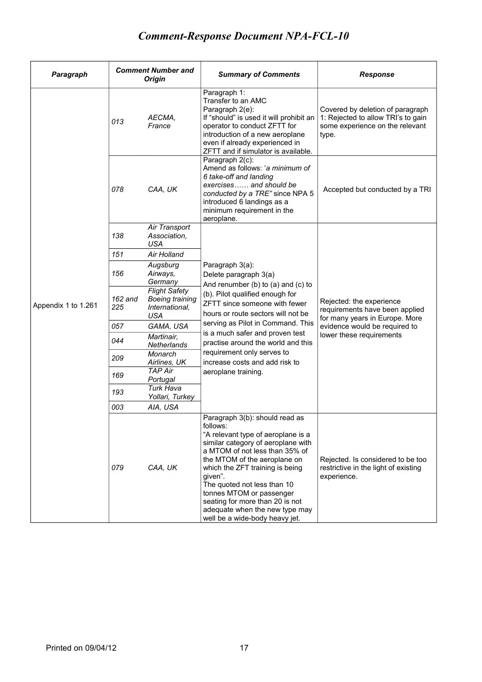| Paragraph           |                | <b>Comment Number and</b><br><b>Origin</b>                                     | <b>Summary of Comments</b>                                                                                                                                                                                                                                                                                                                                                                               | <b>Response</b>                                                                                                    |
|---------------------|----------------|--------------------------------------------------------------------------------|----------------------------------------------------------------------------------------------------------------------------------------------------------------------------------------------------------------------------------------------------------------------------------------------------------------------------------------------------------------------------------------------------------|--------------------------------------------------------------------------------------------------------------------|
|                     | 013            | AECMA,<br>France                                                               | Paragraph 1:<br>Transfer to an AMC<br>Paragraph 2(e):<br>If "should" is used it will prohibit an<br>operator to conduct ZFTT for<br>introduction of a new aeroplane<br>even if already experienced in<br>ZFTT and if simulator is available.                                                                                                                                                             | Covered by deletion of paragraph<br>1: Rejected to allow TRI's to gain<br>some experience on the relevant<br>type. |
|                     | 078            | CAA, UK                                                                        | Paragraph 2(c):<br>Amend as follows: 'a minimum of<br>6 take-off and landing<br>exercises and should be<br>conducted by a TRE" since NPA 5<br>introduced 6 landings as a<br>minimum requirement in the<br>aeroplane.                                                                                                                                                                                     | Accepted but conducted by a TRI                                                                                    |
|                     | 138            | Air Transport<br>Association,<br><b>USA</b>                                    |                                                                                                                                                                                                                                                                                                                                                                                                          | Rejected: the experience<br>requirements have been applied<br>for many years in Europe. More                       |
|                     | 151            | Air Holland                                                                    |                                                                                                                                                                                                                                                                                                                                                                                                          |                                                                                                                    |
| Appendix 1 to 1.261 | 156            | Augsburg<br>Airways,<br>Germany                                                | Paragraph 3(a):<br>Delete paragraph 3(a)<br>And renumber (b) to (a) and (c) to<br>(b). Pilot qualified enough for<br>ZFTT since someone with fewer<br>hours or route sectors will not be                                                                                                                                                                                                                 |                                                                                                                    |
|                     | 162 and<br>225 | <b>Flight Safety</b><br><b>Boeing training</b><br>International,<br><b>USA</b> |                                                                                                                                                                                                                                                                                                                                                                                                          |                                                                                                                    |
|                     | 057            | GAMA, USA                                                                      | serving as Pilot in Command. This                                                                                                                                                                                                                                                                                                                                                                        | evidence would be required to                                                                                      |
|                     | 044            | Martinair,<br>Netherlands                                                      | is a much safer and proven test<br>practise around the world and this                                                                                                                                                                                                                                                                                                                                    | lower these requirements                                                                                           |
|                     | 209            | Monarch<br>Airlines, UK                                                        | requirement only serves to<br>increase costs and add risk to                                                                                                                                                                                                                                                                                                                                             |                                                                                                                    |
|                     | 169            | <b>TAP Air</b><br>Portugal                                                     | aeroplane training.                                                                                                                                                                                                                                                                                                                                                                                      |                                                                                                                    |
|                     | 193            | Turk Hava<br>Yollari, Turkey                                                   |                                                                                                                                                                                                                                                                                                                                                                                                          |                                                                                                                    |
|                     | 003            | AIA, USA                                                                       |                                                                                                                                                                                                                                                                                                                                                                                                          |                                                                                                                    |
|                     | 079            | CAA, UK                                                                        | Paragraph 3(b): should read as<br>follows:<br>"A relevant type of aeroplane is a<br>similar category of aeroplane with<br>a MTOM of not less than 35% of<br>the MTOM of the aeroplane on<br>which the ZFT training is being<br>given".<br>The quoted not less than 10<br>tonnes MTOM or passenger<br>seating for more than 20 is not<br>adequate when the new type may<br>well be a wide-body heavy jet. | Rejected. Is considered to be too<br>restrictive in the light of existing<br>experience.                           |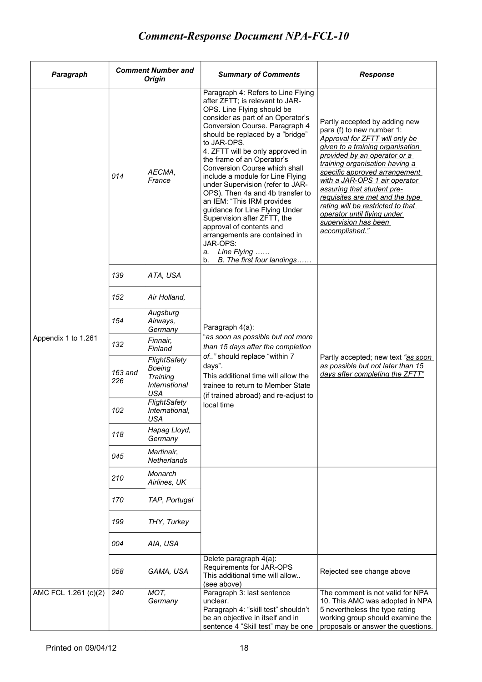| Paragraph            |                | <b>Comment Number and</b><br><b>Origin</b>                               | <b>Summary of Comments</b>                                                                                                                                                                                                                                                                                                                                                                                                                                                                                                                                                                                                                                                    | <b>Response</b>                                                                                                                                                                                                                                                                                                                                                                                                                                     |
|----------------------|----------------|--------------------------------------------------------------------------|-------------------------------------------------------------------------------------------------------------------------------------------------------------------------------------------------------------------------------------------------------------------------------------------------------------------------------------------------------------------------------------------------------------------------------------------------------------------------------------------------------------------------------------------------------------------------------------------------------------------------------------------------------------------------------|-----------------------------------------------------------------------------------------------------------------------------------------------------------------------------------------------------------------------------------------------------------------------------------------------------------------------------------------------------------------------------------------------------------------------------------------------------|
|                      | 014            | AECMA,<br>France                                                         | Paragraph 4: Refers to Line Flying<br>after ZFTT; is relevant to JAR-<br>OPS. Line Flying should be<br>consider as part of an Operator's<br>Conversion Course. Paragraph 4<br>should be replaced by a "bridge"<br>to JAR-OPS.<br>4. ZFTT will be only approved in<br>the frame of an Operator's<br>Conversion Course which shall<br>include a module for Line Flying<br>under Supervision (refer to JAR-<br>OPS). Then 4a and 4b transfer to<br>an IEM: "This IRM provides<br>guidance for Line Flying Under<br>Supervision after ZFTT, the<br>approval of contents and<br>arrangements are contained in<br>JAR-OPS:<br>Line Flying<br>a.<br>B. The first four landings<br>b. | Partly accepted by adding new<br>para (f) to new number 1:<br>Approval for ZFTT will only be<br>given to a training organisation<br>provided by an operator or a<br>training organisation having a<br>specific approved arrangement<br>with a JAR-OPS 1 air operator<br>assuring that student pre-<br>requisites are met and the type<br>rating will be restricted to that<br>operator until flying under<br>supervision has been<br>accomplished." |
|                      | 139            | ATA, USA                                                                 |                                                                                                                                                                                                                                                                                                                                                                                                                                                                                                                                                                                                                                                                               |                                                                                                                                                                                                                                                                                                                                                                                                                                                     |
|                      | 152            | Air Holland,                                                             | Paragraph 4(a):<br>"as soon as possible but not more<br>than 15 days after the completion<br>of" should replace "within 7<br>days".<br>This additional time will allow the<br>trainee to return to Member State<br>(if trained abroad) and re-adjust to<br>local time                                                                                                                                                                                                                                                                                                                                                                                                         |                                                                                                                                                                                                                                                                                                                                                                                                                                                     |
|                      | 154            | Augsburg<br>Airways,<br>Germany                                          |                                                                                                                                                                                                                                                                                                                                                                                                                                                                                                                                                                                                                                                                               |                                                                                                                                                                                                                                                                                                                                                                                                                                                     |
| Appendix 1 to 1.261  | 132            | Finnair,<br>Finland                                                      |                                                                                                                                                                                                                                                                                                                                                                                                                                                                                                                                                                                                                                                                               |                                                                                                                                                                                                                                                                                                                                                                                                                                                     |
|                      | 163 and<br>226 | FlightSafety<br><b>Boeing</b><br><b>Training</b><br>International<br>USA |                                                                                                                                                                                                                                                                                                                                                                                                                                                                                                                                                                                                                                                                               | Partly accepted; new text "as soon<br>as possible but not later than 15<br>days after completing the ZFTT"                                                                                                                                                                                                                                                                                                                                          |
|                      | 102            | FlightSafety<br>International,<br>USA                                    |                                                                                                                                                                                                                                                                                                                                                                                                                                                                                                                                                                                                                                                                               |                                                                                                                                                                                                                                                                                                                                                                                                                                                     |
|                      | 118            | Hapag Lloyd,<br>Germany                                                  |                                                                                                                                                                                                                                                                                                                                                                                                                                                                                                                                                                                                                                                                               |                                                                                                                                                                                                                                                                                                                                                                                                                                                     |
|                      | 045            | Martinair,<br><b>Netherlands</b>                                         |                                                                                                                                                                                                                                                                                                                                                                                                                                                                                                                                                                                                                                                                               |                                                                                                                                                                                                                                                                                                                                                                                                                                                     |
|                      | 210            | Monarch<br>Airlines, UK                                                  |                                                                                                                                                                                                                                                                                                                                                                                                                                                                                                                                                                                                                                                                               |                                                                                                                                                                                                                                                                                                                                                                                                                                                     |
|                      | 170            | TAP, Portugal                                                            |                                                                                                                                                                                                                                                                                                                                                                                                                                                                                                                                                                                                                                                                               |                                                                                                                                                                                                                                                                                                                                                                                                                                                     |
|                      | 199            | THY, Turkey                                                              |                                                                                                                                                                                                                                                                                                                                                                                                                                                                                                                                                                                                                                                                               |                                                                                                                                                                                                                                                                                                                                                                                                                                                     |
|                      | 004            | AIA, USA                                                                 |                                                                                                                                                                                                                                                                                                                                                                                                                                                                                                                                                                                                                                                                               |                                                                                                                                                                                                                                                                                                                                                                                                                                                     |
|                      | 058            | GAMA, USA                                                                | Delete paragraph 4(a):<br>Requirements for JAR-OPS<br>This additional time will allow<br>(see above)                                                                                                                                                                                                                                                                                                                                                                                                                                                                                                                                                                          | Rejected see change above                                                                                                                                                                                                                                                                                                                                                                                                                           |
| AMC FCL 1.261 (c)(2) | 240            | MOT,<br>Germany                                                          | Paragraph 3: last sentence<br>unclear.<br>Paragraph 4: "skill test" shouldn't<br>be an objective in itself and in<br>sentence 4 "Skill test" may be one                                                                                                                                                                                                                                                                                                                                                                                                                                                                                                                       | The comment is not valid for NPA<br>10. This AMC was adopted in NPA<br>5 nevertheless the type rating<br>working group should examine the<br>proposals or answer the questions.                                                                                                                                                                                                                                                                     |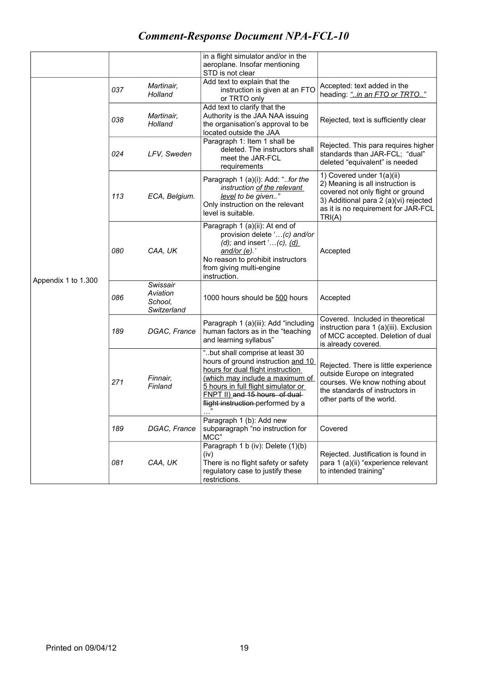|                     |     |                                                | in a flight simulator and/or in the<br>aeroplane. Insofar mentioning<br>STD is not clear                                                                                                                                                                    |                                                                                                                                                                                              |
|---------------------|-----|------------------------------------------------|-------------------------------------------------------------------------------------------------------------------------------------------------------------------------------------------------------------------------------------------------------------|----------------------------------------------------------------------------------------------------------------------------------------------------------------------------------------------|
|                     | 037 | Martinair,<br>Holland                          | Add text to explain that the<br>instruction is given at an FTO<br>or TRTO only                                                                                                                                                                              | Accepted: text added in the<br>heading: "in an FTO or TRTO"                                                                                                                                  |
|                     | 038 | Martinair,<br>Holland                          | Add text to clarify that the<br>Authority is the JAA NAA issuing<br>the organisation's approval to be<br>located outside the JAA                                                                                                                            | Rejected, text is sufficiently clear                                                                                                                                                         |
|                     | 024 | LFV, Sweden                                    | Paragraph 1: Item 1 shall be<br>deleted. The instructors shall<br>meet the JAR-FCL<br>requirements                                                                                                                                                          | Rejected. This para requires higher<br>standards than JAR-FCL; "dual"<br>deleted "equivalent" is needed                                                                                      |
|                     | 113 | ECA, Belgium.                                  | Paragraph 1 (a)(i): Add: "for the<br>instruction of the relevant<br>level to be given"<br>Only instruction on the relevant<br>level is suitable.                                                                                                            | 1) Covered under 1(a)(ii)<br>2) Meaning is all instruction is<br>covered not only flight or ground<br>3) Additional para 2 (a)(vi) rejected<br>as it is no requirement for JAR-FCL<br>TRI(A) |
|                     | 080 | CAA, UK                                        | Paragraph 1 (a)(ii): At end of<br>provision delete '(c) and/or<br>$(d)$ ; and insert ' $(c)$ , $(d)$<br>and/or (e).'<br>No reason to prohibit instructors<br>from giving multi-engine<br>instruction.                                                       | Accepted                                                                                                                                                                                     |
| Appendix 1 to 1.300 | 086 | Swissair<br>Aviation<br>School.<br>Switzerland | 1000 hours should be 500 hours                                                                                                                                                                                                                              | Accepted                                                                                                                                                                                     |
|                     | 189 | DGAC, France                                   | Paragraph 1 (a)(iii): Add "including<br>human factors as in the "teaching<br>and learning syllabus"                                                                                                                                                         | Covered. Included in theoretical<br>instruction para 1 (a)(iii). Exclusion<br>of MCC accepted. Deletion of dual<br>is already covered.                                                       |
|                     | 271 | Finnair,<br>Finland                            | "but shall comprise at least 30<br>hours of ground instruction and 10<br>hours for dual flight instruction<br>(which may include a maximum of<br>5 hours in full flight simulator or<br>FNPT II) and 15 hours of dual-<br>flight instruction-performed by a | Rejected. There is little experience<br>outside Europe on integrated<br>courses. We know nothing about<br>the standards of instructors in<br>other parts of the world.                       |
|                     | 189 | DGAC, France                                   | Paragraph 1 (b): Add new<br>subparagraph "no instruction for<br>MCC"                                                                                                                                                                                        | Covered                                                                                                                                                                                      |
|                     | 081 | CAA, UK                                        | Paragraph 1 b (iv): Delete (1)(b)<br>(iv)<br>There is no flight safety or safety<br>regulatory case to justify these<br>restrictions.                                                                                                                       | Rejected. Justification is found in<br>para 1 (a)(ii) "experience relevant<br>to intended training"                                                                                          |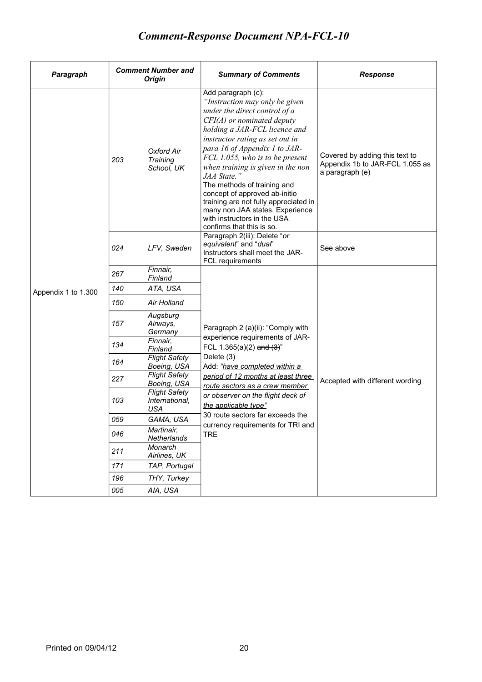| Paragraph           |     | <b>Comment Number and</b><br><b>Origin</b>           | <b>Summary of Comments</b>                                                                                                                                                                                                                                                                                                                                                                                                                                                                                                | <b>Response</b>                                                                      |
|---------------------|-----|------------------------------------------------------|---------------------------------------------------------------------------------------------------------------------------------------------------------------------------------------------------------------------------------------------------------------------------------------------------------------------------------------------------------------------------------------------------------------------------------------------------------------------------------------------------------------------------|--------------------------------------------------------------------------------------|
|                     | 203 | Oxford Air<br>Training<br>School, UK                 | Add paragraph (c):<br>"Instruction may only be given<br>under the direct control of a<br>$CFI(A)$ or nominated deputy<br>holding a JAR-FCL licence and<br>instructor rating as set out in<br>para 16 of Appendix 1 to JAR-<br>FCL 1.055, who is to be present<br>when training is given in the non<br>JAA State."<br>The methods of training and<br>concept of approved ab-initio<br>training are not fully appreciated in<br>many non JAA states. Experience<br>with instructors in the USA<br>confirms that this is so. | Covered by adding this text to<br>Appendix 1b to JAR-FCL 1.055 as<br>a paragraph (e) |
| Appendix 1 to 1.300 | 024 | LFV, Sweden                                          | Paragraph 2(iii): Delete "or<br>equivalent" and "dual"<br>Instructors shall meet the JAR-<br>FCL requirements                                                                                                                                                                                                                                                                                                                                                                                                             | See above                                                                            |
|                     | 267 | Finnair,<br>Finland                                  | Paragraph 2 (a)(ii): "Comply with<br>experience requirements of JAR-<br>FCL 1.365(a)(2) and $(3)$ "<br>Delete (3)<br>Add: "have completed within a                                                                                                                                                                                                                                                                                                                                                                        |                                                                                      |
|                     | 140 | ATA, USA                                             |                                                                                                                                                                                                                                                                                                                                                                                                                                                                                                                           |                                                                                      |
|                     | 150 | Air Holland                                          |                                                                                                                                                                                                                                                                                                                                                                                                                                                                                                                           |                                                                                      |
|                     | 157 | Augsburg<br>Airways,<br>Germany                      |                                                                                                                                                                                                                                                                                                                                                                                                                                                                                                                           | Accepted with different wording                                                      |
|                     | 134 | Finnair.<br>Finland                                  |                                                                                                                                                                                                                                                                                                                                                                                                                                                                                                                           |                                                                                      |
|                     | 164 | <b>Flight Safety</b><br>Boeing, USA                  |                                                                                                                                                                                                                                                                                                                                                                                                                                                                                                                           |                                                                                      |
|                     | 227 | <b>Flight Safety</b><br>Boeing, USA                  | period of 12 months at least three                                                                                                                                                                                                                                                                                                                                                                                                                                                                                        |                                                                                      |
|                     | 103 | <b>Flight Safety</b><br>International,<br><b>USA</b> | route sectors as a crew member<br>or observer on the flight deck of<br>the applicable type"                                                                                                                                                                                                                                                                                                                                                                                                                               |                                                                                      |
|                     | 059 | GAMA, USA                                            | 30 route sectors far exceeds the<br>currency requirements for TRI and                                                                                                                                                                                                                                                                                                                                                                                                                                                     |                                                                                      |
|                     | 046 | Martinair,<br>Netherlands                            | <b>TRE</b>                                                                                                                                                                                                                                                                                                                                                                                                                                                                                                                |                                                                                      |
|                     | 211 | Monarch<br>Airlines, UK                              |                                                                                                                                                                                                                                                                                                                                                                                                                                                                                                                           |                                                                                      |
|                     | 171 | TAP, Portugal                                        |                                                                                                                                                                                                                                                                                                                                                                                                                                                                                                                           |                                                                                      |
|                     | 196 | THY, Turkey                                          |                                                                                                                                                                                                                                                                                                                                                                                                                                                                                                                           |                                                                                      |
|                     | 005 | AIA, USA                                             |                                                                                                                                                                                                                                                                                                                                                                                                                                                                                                                           |                                                                                      |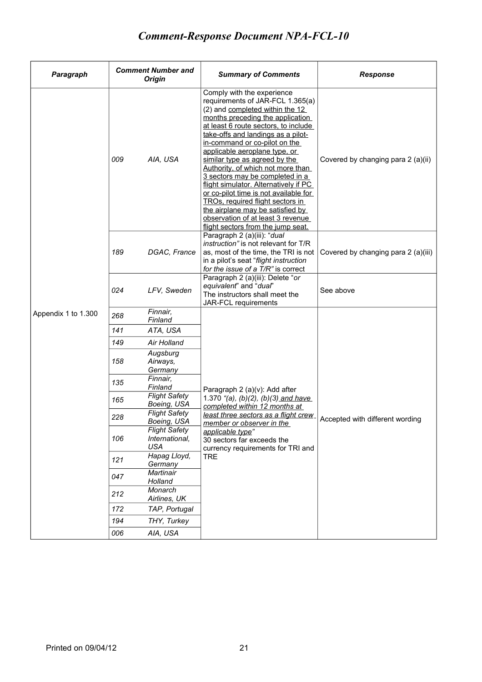| Paragraph           |     | <b>Comment Number and</b><br><b>Origin</b>    | <b>Summary of Comments</b>                                                                                                                                                                                                                                                                                                                                                                                                                                                                                                                                                                                                          | <b>Response</b>                     |
|---------------------|-----|-----------------------------------------------|-------------------------------------------------------------------------------------------------------------------------------------------------------------------------------------------------------------------------------------------------------------------------------------------------------------------------------------------------------------------------------------------------------------------------------------------------------------------------------------------------------------------------------------------------------------------------------------------------------------------------------------|-------------------------------------|
| Appendix 1 to 1.300 | 009 | AIA, USA                                      | Comply with the experience<br>requirements of JAR-FCL 1.365(a)<br>(2) and completed within the 12<br>months preceding the application<br>at least 6 route sectors, to include<br>take-offs and landings as a pilot-<br>in-command or co-pilot on the<br>applicable aeroplane type, or<br>similar type as agreed by the<br>Authority, of which not more than<br>3 sectors may be completed in a<br>flight simulator. Alternatively if PC<br>or co-pilot time is not available for<br>TROs, required flight sectors in<br>the airplane may be satisfied by<br>observation of at least 3 revenue<br>flight sectors from the jump seat. | Covered by changing para 2 (a)(ii)  |
|                     | 189 | DGAC, France                                  | Paragraph 2 (a)(iii): "dual<br>instruction" is not relevant for T/R<br>as, most of the time, the TRI is not<br>in a pilot's seat "flight instruction<br>for the issue of a T/R" is correct                                                                                                                                                                                                                                                                                                                                                                                                                                          | Covered by changing para 2 (a)(iii) |
|                     | 024 | LFV, Sweden                                   | Paragraph 2 (a)(iii): Delete "or<br>equivalent" and "dual"<br>The instructors shall meet the<br>JAR-FCL requirements                                                                                                                                                                                                                                                                                                                                                                                                                                                                                                                | See above                           |
|                     | 268 | Finnair.<br>Finland                           |                                                                                                                                                                                                                                                                                                                                                                                                                                                                                                                                                                                                                                     |                                     |
|                     | 141 | ATA, USA                                      |                                                                                                                                                                                                                                                                                                                                                                                                                                                                                                                                                                                                                                     |                                     |
|                     | 149 | Air Holland                                   |                                                                                                                                                                                                                                                                                                                                                                                                                                                                                                                                                                                                                                     |                                     |
|                     | 158 | Augsburg<br>Airways,<br>Germany               | Paragraph 2 (a)(v): Add after                                                                                                                                                                                                                                                                                                                                                                                                                                                                                                                                                                                                       | Accepted with different wording     |
|                     | 135 | Finnair.<br>Finland                           |                                                                                                                                                                                                                                                                                                                                                                                                                                                                                                                                                                                                                                     |                                     |
|                     | 165 | <b>Flight Safety</b><br>Boeing, USA           | 1.370 "(a), (b)(2), (b)(3) and have<br>completed within 12 months at                                                                                                                                                                                                                                                                                                                                                                                                                                                                                                                                                                |                                     |
|                     | 228 | <b>Flight Safety</b><br>Boeing, USA           | least three sectors as a flight crew<br><u>member or observer in the </u>                                                                                                                                                                                                                                                                                                                                                                                                                                                                                                                                                           |                                     |
|                     | 106 | <b>Flight Safety</b><br>International,<br>USA | applicable type"<br>30 sectors far exceeds the<br>currency requirements for TRI and                                                                                                                                                                                                                                                                                                                                                                                                                                                                                                                                                 |                                     |
|                     | 121 | Hapag Lloyd,<br>Germany                       | <b>TRE</b>                                                                                                                                                                                                                                                                                                                                                                                                                                                                                                                                                                                                                          |                                     |
|                     | 047 | Martinair<br>Holland                          |                                                                                                                                                                                                                                                                                                                                                                                                                                                                                                                                                                                                                                     |                                     |
|                     | 212 | Monarch<br>Airlines, UK                       |                                                                                                                                                                                                                                                                                                                                                                                                                                                                                                                                                                                                                                     |                                     |
|                     | 172 | TAP, Portugal                                 |                                                                                                                                                                                                                                                                                                                                                                                                                                                                                                                                                                                                                                     |                                     |
|                     | 194 | THY, Turkey                                   |                                                                                                                                                                                                                                                                                                                                                                                                                                                                                                                                                                                                                                     |                                     |
|                     | 006 | AIA, USA                                      |                                                                                                                                                                                                                                                                                                                                                                                                                                                                                                                                                                                                                                     |                                     |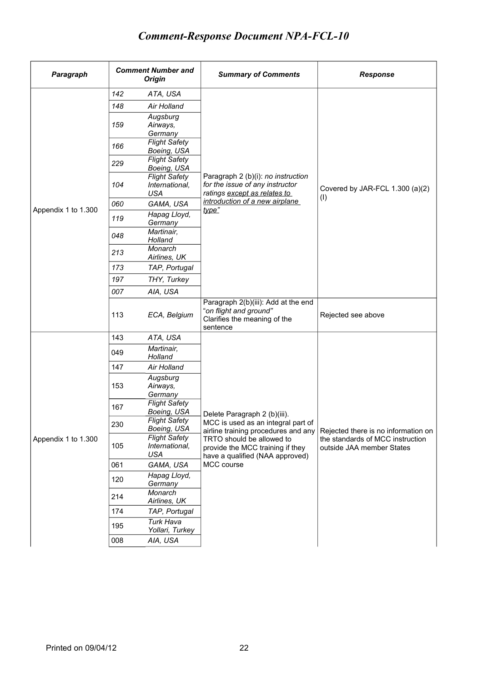| Paragraph           |     | <b>Comment Number and</b><br><b>Origin</b>    | <b>Summary of Comments</b>                                                                                | <b>Response</b>                                               |
|---------------------|-----|-----------------------------------------------|-----------------------------------------------------------------------------------------------------------|---------------------------------------------------------------|
|                     | 142 | ATA, USA                                      |                                                                                                           |                                                               |
|                     | 148 | Air Holland                                   |                                                                                                           |                                                               |
|                     | 159 | Augsburg<br>Airways,<br>Germany               |                                                                                                           |                                                               |
|                     | 166 | <b>Flight Safety</b><br>Boeing, USA           |                                                                                                           |                                                               |
|                     | 229 | <b>Flight Safety</b><br>Boeing, USA           |                                                                                                           |                                                               |
|                     | 104 | <b>Flight Safety</b><br>International,<br>USA | Paragraph 2 (b)(i): no instruction<br>for the issue of any instructor<br>ratings except as relates to     | Covered by JAR-FCL 1.300 (a)(2)<br>(1)                        |
|                     | 060 | GAMA, USA                                     | introduction of a new airplane                                                                            |                                                               |
| Appendix 1 to 1.300 | 119 | Hapag Lloyd,<br>Germany                       | type"                                                                                                     |                                                               |
|                     | 048 | Martinair,<br>Holland                         |                                                                                                           |                                                               |
|                     | 213 | Monarch<br>Airlines, UK                       |                                                                                                           |                                                               |
|                     | 173 | TAP, Portugal                                 |                                                                                                           |                                                               |
|                     | 197 | THY, Turkey                                   |                                                                                                           |                                                               |
|                     | 007 | AIA, USA                                      |                                                                                                           |                                                               |
|                     | 113 | ECA, Belgium                                  | Paragraph 2(b)(iii): Add at the end<br>"on flight and ground"<br>Clarifies the meaning of the<br>sentence | Rejected see above                                            |
|                     | 143 | ATA, USA                                      |                                                                                                           |                                                               |
|                     | 049 | Martinair,<br>Holland                         |                                                                                                           |                                                               |
|                     | 147 | Air Holland                                   |                                                                                                           |                                                               |
|                     | 153 | Augsburg<br>Airways,<br>Germany               |                                                                                                           |                                                               |
|                     | 167 | <b>Flight Safety</b><br>Boeing, USA           | Delete Paragraph 2 (b)(iii).                                                                              |                                                               |
|                     | 230 | <b>Flight Safety</b><br>Boeing, USA           | MCC is used as an integral part of<br>airline training procedures and any                                 | Rejected there is no information on                           |
| Appendix 1 to 1.300 | 105 | <b>Flight Safety</b><br>International,<br>USA | TRTO should be allowed to<br>provide the MCC training if they<br>have a qualified (NAA approved)          | the standards of MCC instruction<br>outside JAA member States |
|                     | 061 | GAMA, USA                                     | MCC course                                                                                                |                                                               |
|                     | 120 | Hapag Lloyd,<br>Germany                       |                                                                                                           |                                                               |
|                     | 214 | Monarch<br>Airlines, UK                       |                                                                                                           |                                                               |
|                     | 174 | TAP, Portugal                                 |                                                                                                           |                                                               |
|                     | 195 | Turk Hava<br>Yollari, Turkey                  |                                                                                                           |                                                               |
|                     | 008 | AIA, USA                                      |                                                                                                           |                                                               |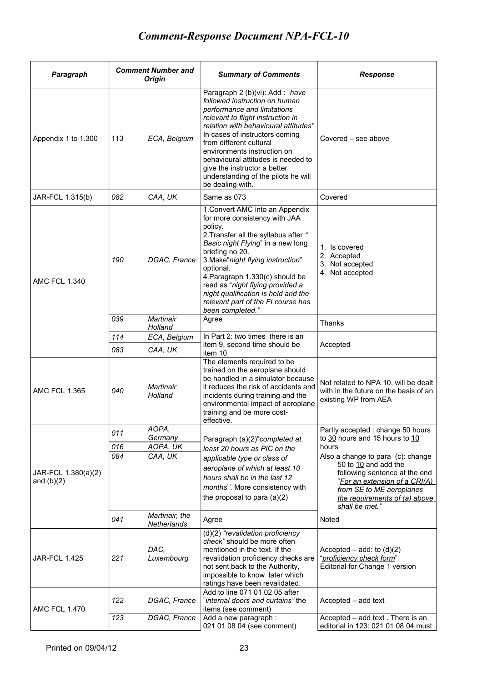| Paragraph                           |     | <b>Comment Number and</b><br><b>Origin</b> | <b>Summary of Comments</b>                                                                                                                                                                                                                                                                                                                                                                                 | <b>Response</b>                                                                                                                                                                                            |
|-------------------------------------|-----|--------------------------------------------|------------------------------------------------------------------------------------------------------------------------------------------------------------------------------------------------------------------------------------------------------------------------------------------------------------------------------------------------------------------------------------------------------------|------------------------------------------------------------------------------------------------------------------------------------------------------------------------------------------------------------|
| Appendix 1 to 1.300                 | 113 | ECA, Belgium                               | Paragraph 2 (b)(vi): Add : "have<br>followed instruction on human<br>performance and limitations<br>relevant to flight instruction in<br>relation with behavioural attitudes"<br>In cases of instructors coming<br>from different cultural<br>environments instruction on<br>behavioural attitudes is needed to<br>give the instructor a better<br>understanding of the pilots he will<br>be dealing with. | Covered – see above                                                                                                                                                                                        |
| JAR-FCL 1.315(b)                    | 082 | CAA, UK                                    | Same as 073                                                                                                                                                                                                                                                                                                                                                                                                | Covered                                                                                                                                                                                                    |
| <b>AMC FCL 1.340</b>                | 190 | DGAC, France                               | 1. Convert AMC into an Appendix<br>for more consistency with JAA<br>policy.<br>2. Transfer all the syllabus after "<br>Basic night Flying" in a new long<br>briefing no 20.<br>3. Make" night flying instruction"<br>optional.<br>4. Paragraph 1.330(c) should be<br>read as "night flying provided a<br>night qualification is held and the<br>relevant part of the FI course has<br>been completed."     | 1. Is covered<br>2. Accepted<br>3. Not accepted<br>4. Not accepted                                                                                                                                         |
|                                     | 039 | Martinair<br>Holland                       | Agree                                                                                                                                                                                                                                                                                                                                                                                                      | <b>Thanks</b>                                                                                                                                                                                              |
|                                     | 114 | ECA, Belgium                               | In Part 2: two times there is an                                                                                                                                                                                                                                                                                                                                                                           |                                                                                                                                                                                                            |
|                                     | 083 | CAA, UK                                    | item 9, second time should be<br>item 10                                                                                                                                                                                                                                                                                                                                                                   | Accepted                                                                                                                                                                                                   |
| <b>AMC FCL 1.365</b>                | 040 | Martinair<br>Holland                       | The elements required to be<br>trained on the aeroplane should<br>be handled in a simulator because<br>it reduces the risk of accidents and<br>incidents during training and the<br>environmental impact of aeroplane<br>training and be more cost-<br>effective.                                                                                                                                          | Not related to NPA 10, will be dealt<br>with in the future on the basis of an<br>existing WP from AEA                                                                                                      |
|                                     | 011 | AOPA,<br>Germany                           | Paragraph (a)(2)"completed at                                                                                                                                                                                                                                                                                                                                                                              | Partly accepted : change 50 hours<br>to 30 hours and 15 hours to 10                                                                                                                                        |
|                                     | 016 | AOPA, UK                                   | least 20 hours as PIC on the                                                                                                                                                                                                                                                                                                                                                                               | hours                                                                                                                                                                                                      |
| JAR-FCL 1.380(a)(2)<br>and $(b)(2)$ | 084 | CAA, UK                                    | applicable type or class of<br>aeroplane of which at least 10<br>hours shall be in the last 12<br>months". More consistency with<br>the proposal to para $(a)(2)$                                                                                                                                                                                                                                          | Also a change to para (c): change<br>50 to 10 and add the<br>following sentence at the end<br>"For an extension of a CRI(A)<br>from SE to ME aeroplanes<br>the requirements of (a) above<br>shall be met." |
|                                     | 041 | Martinair, the<br>Netherlands              | Agree                                                                                                                                                                                                                                                                                                                                                                                                      | Noted                                                                                                                                                                                                      |
| <b>JAR-FCL 1.425</b>                | 221 | DAC,<br>Luxembourg                         | (d)(2) "revalidation proficiency<br>check" should be more often<br>mentioned in the text. If the<br>revalidation proficiency checks are<br>not sent back to the Authority,<br>impossible to know later which<br>ratings have been revalidated.                                                                                                                                                             | Accepted $-$ add: to $(d)(2)$<br>"proficiency check form"<br>Editorial for Change 1 version                                                                                                                |
| <b>AMC FCL 1.470</b>                | 122 | DGAC, France                               | Add to line 071 01 02 05 after<br>"internal doors and curtains" the<br>items (see comment)                                                                                                                                                                                                                                                                                                                 | Accepted - add text                                                                                                                                                                                        |
|                                     | 123 | DGAC, France                               | Add a new paragraph:<br>021 01 08 04 (see comment)                                                                                                                                                                                                                                                                                                                                                         | Accepted - add text. There is an<br>editorial in 123: 021 01 08 04 must                                                                                                                                    |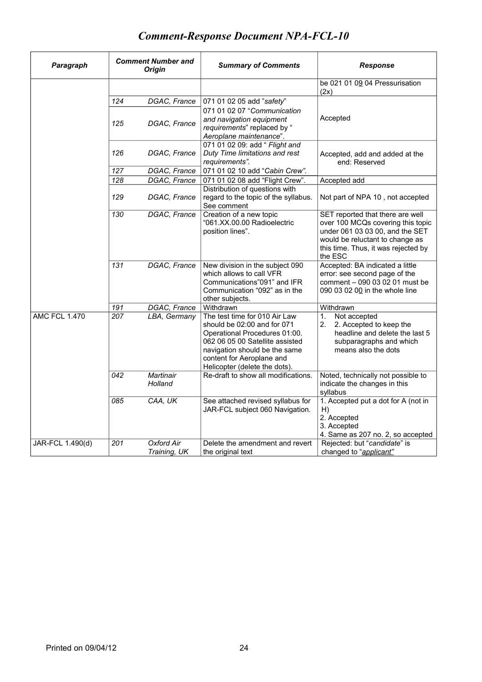| Paragraph            | <b>Comment Number and</b><br><b>Origin</b> |                              | <b>Summary of Comments</b>                                                                                                                                                                                                      | <b>Response</b>                                                                                                                                                                               |
|----------------------|--------------------------------------------|------------------------------|---------------------------------------------------------------------------------------------------------------------------------------------------------------------------------------------------------------------------------|-----------------------------------------------------------------------------------------------------------------------------------------------------------------------------------------------|
|                      |                                            |                              |                                                                                                                                                                                                                                 | be 021 01 09 04 Pressurisation<br>(2x)                                                                                                                                                        |
|                      | 124<br>125                                 | DGAC, France<br>DGAC, France | 071 01 02 05 add "safety"<br>071 01 02 07 "Communication<br>and navigation equipment<br>requirements" replaced by "<br>Aeroplane maintenance".                                                                                  | Accepted                                                                                                                                                                                      |
|                      | 126                                        | DGAC, France                 | 071 01 02 09: add " Flight and<br>Duty Time limitations and rest<br>requirements".                                                                                                                                              | Accepted, add and added at the<br>end: Reserved                                                                                                                                               |
|                      | 127                                        | DGAC, France                 | 071 01 02 10 add "Cabin Crew".                                                                                                                                                                                                  |                                                                                                                                                                                               |
|                      | 128                                        | DGAC, France                 | 071 01 02 08 add "Flight Crew".                                                                                                                                                                                                 | Accepted add                                                                                                                                                                                  |
|                      | 129                                        | DGAC, France                 | Distribution of questions with<br>regard to the topic of the syllabus.<br>See comment                                                                                                                                           | Not part of NPA 10, not accepted                                                                                                                                                              |
|                      | 130                                        | DGAC, France                 | Creation of a new topic<br>"061.XX.00.00 Radioelectric<br>position lines".                                                                                                                                                      | SET reported that there are well<br>over 100 MCQs covering this topic<br>under 061 03 03 00, and the SET<br>would be reluctant to change as<br>this time. Thus, it was rejected by<br>the ESC |
|                      | 131                                        | DGAC, France                 | New division in the subject 090<br>which allows to call VFR<br>Communications"091" and IFR<br>Communication "092" as in the<br>other subjects.                                                                                  | Accepted: BA indicated a little<br>error: see second page of the<br>comment - 090 03 02 01 must be<br>090 03 02 00 in the whole line                                                          |
|                      | 191                                        | DGAC, France                 | Withdrawn                                                                                                                                                                                                                       | Withdrawn                                                                                                                                                                                     |
| <b>AMC FCL 1.470</b> | $\overline{207}$                           | LBA, Germany                 | The test time for 010 Air Law<br>should be 02:00 and for 071<br>Operational Procedures 01:00.<br>062 06 05 00 Satellite assisted<br>navigation should be the same<br>content for Aeroplane and<br>Helicopter (delete the dots). | $\overline{1}$ .<br>Not accepted<br>2.<br>2. Accepted to keep the<br>headline and delete the last 5<br>subparagraphs and which<br>means also the dots                                         |
|                      | 042                                        | Martinair<br>Holland         | Re-draft to show all modifications.                                                                                                                                                                                             | Noted, technically not possible to<br>indicate the changes in this<br>syllabus                                                                                                                |
|                      | 085                                        | CAA, UK                      | See attached revised syllabus for<br>JAR-FCL subject 060 Navigation.                                                                                                                                                            | 1. Accepted put a dot for A (not in<br>H)<br>2. Accepted<br>3. Accepted<br>4. Same as 207 no. 2, so accepted                                                                                  |
| JAR-FCL 1.490(d)     | 201                                        | Oxford Air<br>Training, UK   | Delete the amendment and revert<br>the original text                                                                                                                                                                            | Rejected: but "candidate" is<br>changed to "applicant"                                                                                                                                        |